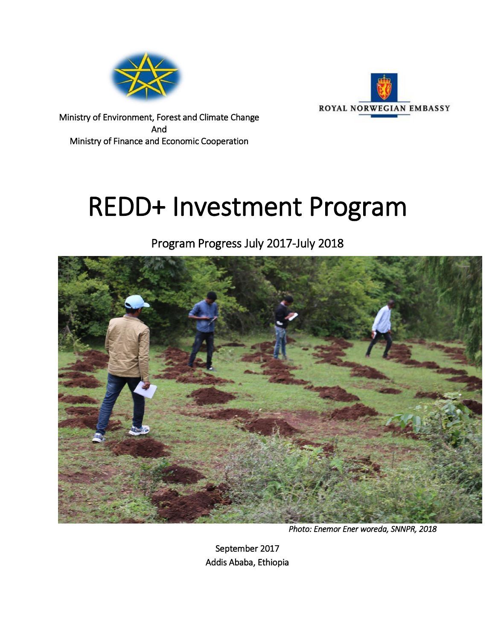



Ministry of Environment, Forest and Climate Change And Ministry of Finance and Economic Cooperation

# REDD+ Investment Program

Program Progress July 2017-July 2018



*Photo: Enemor Ener woreda, SNNPR, 2018* 

September 2017 Addis Ababa, Ethiopia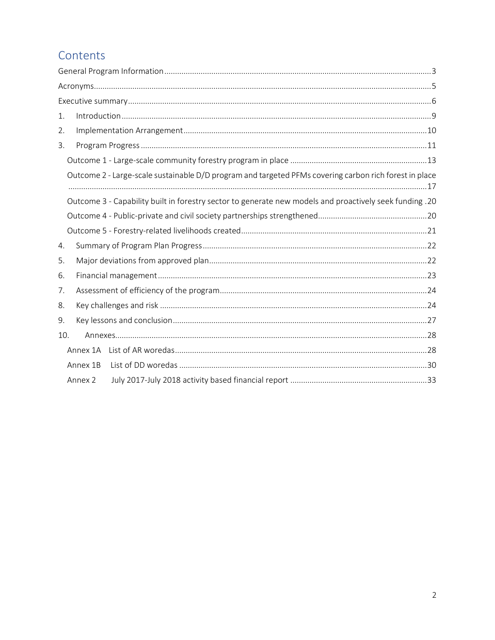# Contents

| 1.  |          |                                                                                                         |  |
|-----|----------|---------------------------------------------------------------------------------------------------------|--|
| 2.  |          |                                                                                                         |  |
| 3.  |          |                                                                                                         |  |
|     |          |                                                                                                         |  |
|     |          | Outcome 2 - Large-scale sustainable D/D program and targeted PFMs covering carbon rich forest in place  |  |
|     |          | Outcome 3 - Capability built in forestry sector to generate new models and proactively seek funding .20 |  |
|     |          |                                                                                                         |  |
|     |          |                                                                                                         |  |
| 4.  |          |                                                                                                         |  |
| 5.  |          |                                                                                                         |  |
| 6.  |          |                                                                                                         |  |
| 7.  |          |                                                                                                         |  |
| 8.  |          |                                                                                                         |  |
| 9.  |          |                                                                                                         |  |
| 10. |          |                                                                                                         |  |
|     | Annex 1A |                                                                                                         |  |
|     | Annex 1B |                                                                                                         |  |
|     | Annex 2  |                                                                                                         |  |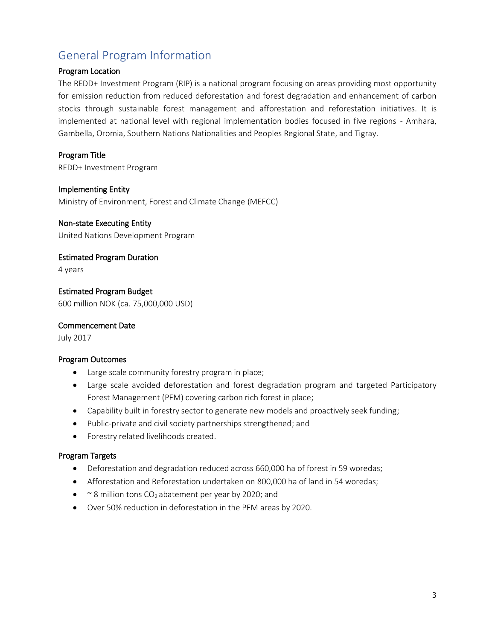# <span id="page-2-0"></span>General Program Information

#### Program Location

The REDD+ Investment Program (RIP) is a national program focusing on areas providing most opportunity for emission reduction from reduced deforestation and forest degradation and enhancement of carbon stocks through sustainable forest management and afforestation and reforestation initiatives. It is implemented at national level with regional implementation bodies focused in five regions - Amhara, Gambella, Oromia, Southern Nations Nationalities and Peoples Regional State, and Tigray.

Program Title

REDD+ Investment Program

#### Implementing Entity

Ministry of Environment, Forest and Climate Change (MEFCC)

#### Non-state Executing Entity

United Nations Development Program

Estimated Program Duration

4 years

Estimated Program Budget 600 million NOK (ca. 75,000,000 USD)

#### Commencement Date

July 2017

#### Program Outcomes

- Large scale community forestry program in place;
- Large scale avoided deforestation and forest degradation program and targeted Participatory Forest Management (PFM) covering carbon rich forest in place;
- Capability built in forestry sector to generate new models and proactively seek funding;
- Public-private and civil society partnerships strengthened; and
- Forestry related livelihoods created.

#### Program Targets

- Deforestation and degradation reduced across 660,000 ha of forest in 59 woredas;
- Afforestation and Reforestation undertaken on 800,000 ha of land in 54 woredas;
- $\sim$  8 million tons CO<sub>2</sub> abatement per year by 2020; and
- Over 50% reduction in deforestation in the PFM areas by 2020.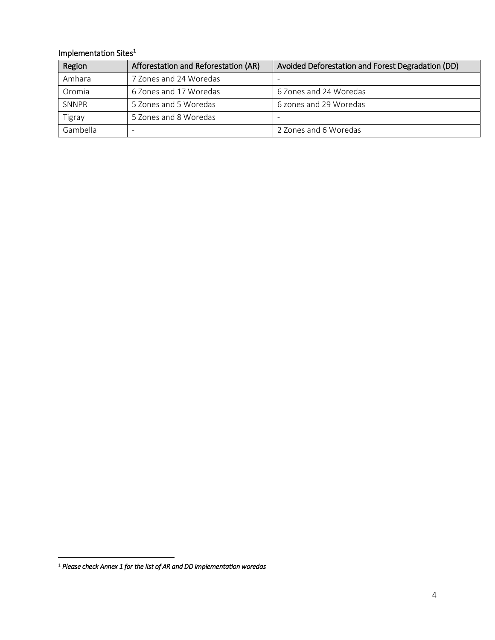#### Implementation Sites<sup>1</sup>

| Region   | Afforestation and Reforestation (AR) | Avoided Deforestation and Forest Degradation (DD) |
|----------|--------------------------------------|---------------------------------------------------|
| Amhara   | 7 Zones and 24 Woredas               |                                                   |
| Oromia   | 6 Zones and 17 Woredas               | 6 Zones and 24 Woredas                            |
| SNNPR    | 5 Zones and 5 Woredas                | 6 zones and 29 Woredas                            |
| Tigray   | 5 Zones and 8 Woredas                |                                                   |
| Gambella |                                      | 2 Zones and 6 Woredas                             |

 $\overline{\phantom{a}}$ 

<sup>1</sup> *Please check Annex 1 for the list of AR and DD implementation woredas*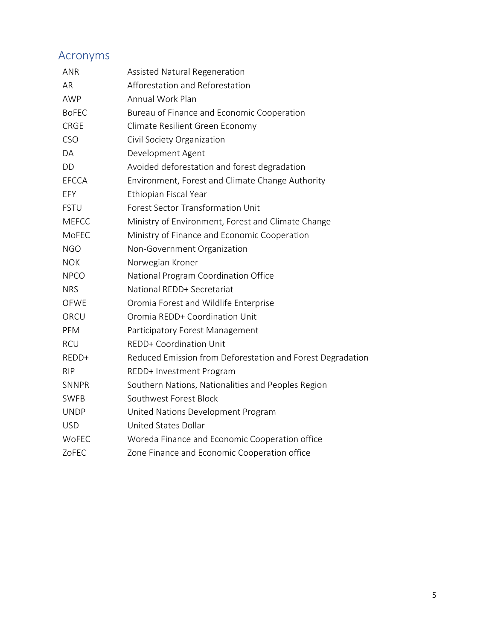# <span id="page-4-0"></span>Acronyms

| <b>ANR</b>   | Assisted Natural Regeneration                              |
|--------------|------------------------------------------------------------|
| AR           | Afforestation and Reforestation                            |
| <b>AWP</b>   | Annual Work Plan                                           |
| <b>BoFEC</b> | Bureau of Finance and Economic Cooperation                 |
| <b>CRGE</b>  | Climate Resilient Green Economy                            |
| <b>CSO</b>   | Civil Society Organization                                 |
| DA           | Development Agent                                          |
| <b>DD</b>    | Avoided deforestation and forest degradation               |
| <b>EFCCA</b> | Environment, Forest and Climate Change Authority           |
| EFY          | Ethiopian Fiscal Year                                      |
| <b>FSTU</b>  | <b>Forest Sector Transformation Unit</b>                   |
| <b>MEFCC</b> | Ministry of Environment, Forest and Climate Change         |
| MoFEC        | Ministry of Finance and Economic Cooperation               |
| <b>NGO</b>   | Non-Government Organization                                |
| <b>NOK</b>   | Norwegian Kroner                                           |
| <b>NPCO</b>  | National Program Coordination Office                       |
| <b>NRS</b>   | National REDD+ Secretariat                                 |
| <b>OFWE</b>  | Oromia Forest and Wildlife Enterprise                      |
| ORCU         | Oromia REDD+ Coordination Unit                             |
| PFM          | Participatory Forest Management                            |
| <b>RCU</b>   | REDD+ Coordination Unit                                    |
| REDD+        | Reduced Emission from Deforestation and Forest Degradation |
| <b>RIP</b>   | REDD+ Investment Program                                   |
| <b>SNNPR</b> | Southern Nations, Nationalities and Peoples Region         |
| <b>SWFB</b>  | Southwest Forest Block                                     |
| <b>UNDP</b>  | United Nations Development Program                         |
| <b>USD</b>   | United States Dollar                                       |
| <b>WoFEC</b> | Woreda Finance and Economic Cooperation office             |
| ZoFEC        | Zone Finance and Economic Cooperation office               |
|              |                                                            |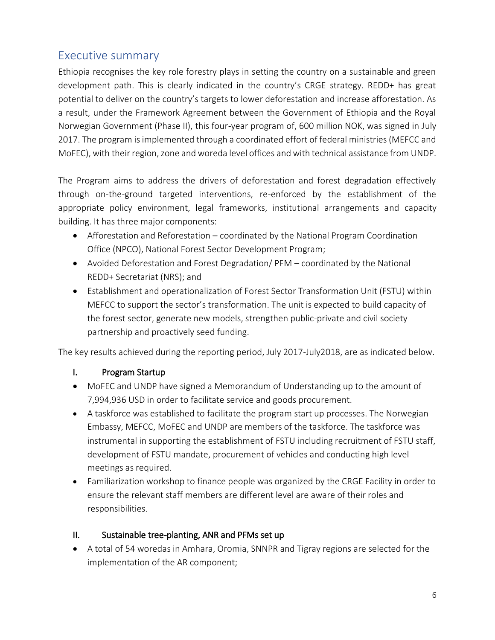# <span id="page-5-0"></span>Executive summary

Ethiopia recognises the key role forestry plays in setting the country on a sustainable and green development path. This is clearly indicated in the country's CRGE strategy. REDD+ has great potential to deliver on the country's targets to lower deforestation and increase afforestation. As a result, under the Framework Agreement between the Government of Ethiopia and the Royal Norwegian Government (Phase II), this four-year program of, 600 million NOK, was signed in July 2017. The program is implemented through a coordinated effort of federal ministries (MEFCC and MoFEC), with their region, zone and woreda level offices and with technical assistance from UNDP.

The Program aims to address the drivers of deforestation and forest degradation effectively through on-the-ground targeted interventions, re-enforced by the establishment of the appropriate policy environment, legal frameworks, institutional arrangements and capacity building. It has three major components:

- Afforestation and Reforestation coordinated by the National Program Coordination Office (NPCO), National Forest Sector Development Program;
- Avoided Deforestation and Forest Degradation/ PFM coordinated by the National REDD+ Secretariat (NRS); and
- Establishment and operationalization of Forest Sector Transformation Unit (FSTU) within MEFCC to support the sector's transformation. The unit is expected to build capacity of the forest sector, generate new models, strengthen public-private and civil society partnership and proactively seed funding.

The key results achieved during the reporting period, July 2017-July2018, are as indicated below.

## I. Program Startup

- MoFEC and UNDP have signed a Memorandum of Understanding up to the amount of 7,994,936 USD in order to facilitate service and goods procurement.
- A taskforce was established to facilitate the program start up processes. The Norwegian Embassy, MEFCC, MoFEC and UNDP are members of the taskforce. The taskforce was instrumental in supporting the establishment of FSTU including recruitment of FSTU staff, development of FSTU mandate, procurement of vehicles and conducting high level meetings as required.
- Familiarization workshop to finance people was organized by the CRGE Facility in order to ensure the relevant staff members are different level are aware of their roles and responsibilities.

## II. Sustainable tree-planting, ANR and PFMs set up

• A total of 54 woredas in Amhara, Oromia, SNNPR and Tigray regions are selected for the implementation of the AR component;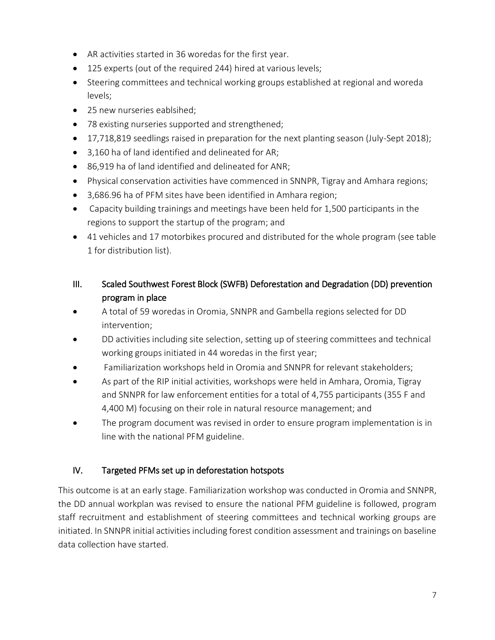- AR activities started in 36 woredas for the first year.
- 125 experts (out of the required 244) hired at various levels;
- Steering committees and technical working groups established at regional and woreda levels;
- 25 new nurseries eablsihed;
- 78 existing nurseries supported and strengthened;
- 17,718,819 seedlings raised in preparation for the next planting season (July-Sept 2018);
- 3,160 ha of land identified and delineated for AR;
- 86,919 ha of land identified and delineated for ANR;
- Physical conservation activities have commenced in SNNPR, Tigray and Amhara regions;
- 3,686.96 ha of PFM sites have been identified in Amhara region;
- Capacity building trainings and meetings have been held for 1,500 participants in the regions to support the startup of the program; and
- 41 vehicles and 17 motorbikes procured and distributed for the whole program (see table 1 for distribution list).
- III. Scaled Southwest Forest Block (SWFB) Deforestation and Degradation (DD) prevention program in place
- A total of 59 woredas in Oromia, SNNPR and Gambella regions selected for DD intervention;
- DD activities including site selection, setting up of steering committees and technical working groups initiated in 44 woredas in the first year;
- Familiarization workshops held in Oromia and SNNPR for relevant stakeholders;
- As part of the RIP initial activities, workshops were held in Amhara, Oromia, Tigray and SNNPR for law enforcement entities for a total of 4,755 participants (355 F and 4,400 M) focusing on their role in natural resource management; and
- The program document was revised in order to ensure program implementation is in line with the national PFM guideline.

## IV. Targeted PFMs set up in deforestation hotspots

This outcome is at an early stage. Familiarization workshop was conducted in Oromia and SNNPR, the DD annual workplan was revised to ensure the national PFM guideline is followed, program staff recruitment and establishment of steering committees and technical working groups are initiated. In SNNPR initial activities including forest condition assessment and trainings on baseline data collection have started.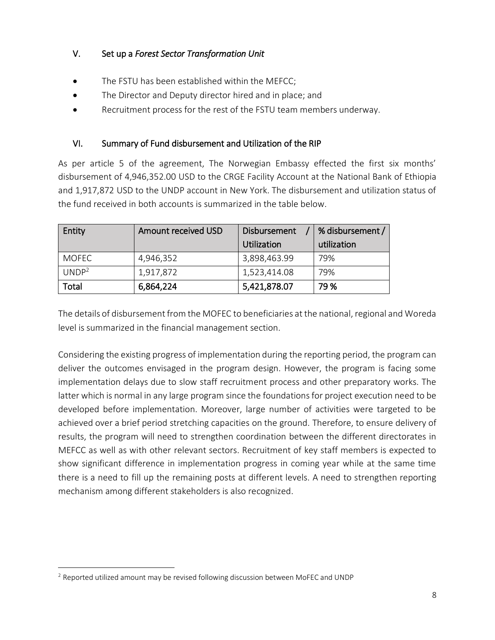## V. Set up a *Forest Sector Transformation Unit*

- The FSTU has been established within the MEFCC;
- The Director and Deputy director hired and in place; and
- Recruitment process for the rest of the FSTU team members underway.

## VI. Summary of Fund disbursement and Utilization of the RIP

As per article 5 of the agreement, The Norwegian Embassy effected the first six months' disbursement of 4,946,352.00 USD to the CRGE Facility Account at the National Bank of Ethiopia and 1,917,872 USD to the UNDP account in New York. The disbursement and utilization status of the fund received in both accounts is summarized in the table below.

| Entity            | Amount received USD | Disbursement | % disbursement / |
|-------------------|---------------------|--------------|------------------|
|                   |                     | Utilization  | utilization      |
| <b>MOFEC</b>      | 4,946,352           | 3,898,463.99 | 79%              |
| UNDP <sup>2</sup> | 1,917,872           | 1,523,414.08 | 79%              |
| Total             | 6,864,224           | 5,421,878.07 | 79 %             |

The details of disbursement from the MOFEC to beneficiaries at the national, regional and Woreda level is summarized in the financial management section.

Considering the existing progress of implementation during the reporting period, the program can deliver the outcomes envisaged in the program design. However, the program is facing some implementation delays due to slow staff recruitment process and other preparatory works. The latter which is normal in any large program since the foundations for project execution need to be developed before implementation. Moreover, large number of activities were targeted to be achieved over a brief period stretching capacities on the ground. Therefore, to ensure delivery of results, the program will need to strengthen coordination between the different directorates in MEFCC as well as with other relevant sectors. Recruitment of key staff members is expected to show significant difference in implementation progress in coming year while at the same time there is a need to fill up the remaining posts at different levels. A need to strengthen reporting mechanism among different stakeholders is also recognized.

 $\overline{a}$ 

<sup>&</sup>lt;sup>2</sup> Reported utilized amount may be revised following discussion between MoFEC and UNDP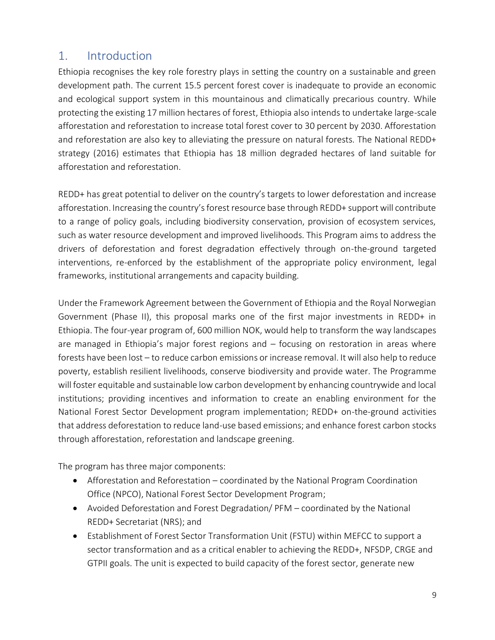# <span id="page-8-0"></span>1. Introduction

Ethiopia recognises the key role forestry plays in setting the country on a sustainable and green development path. The current 15.5 percent forest cover is inadequate to provide an economic and ecological support system in this mountainous and climatically precarious country. While protecting the existing 17 million hectares of forest, Ethiopia also intends to undertake large-scale afforestation and reforestation to increase total forest cover to 30 percent by 2030. Afforestation and reforestation are also key to alleviating the pressure on natural forests. The National REDD+ strategy (2016) estimates that Ethiopia has 18 million degraded hectares of land suitable for afforestation and reforestation.

REDD+ has great potential to deliver on the country's targets to lower deforestation and increase afforestation. Increasing the country's forest resource base through REDD+ support will contribute to a range of policy goals, including biodiversity conservation, provision of ecosystem services, such as water resource development and improved livelihoods. This Program aims to address the drivers of deforestation and forest degradation effectively through on-the-ground targeted interventions, re-enforced by the establishment of the appropriate policy environment, legal frameworks, institutional arrangements and capacity building.

Under the Framework Agreement between the Government of Ethiopia and the Royal Norwegian Government (Phase II), this proposal marks one of the first major investments in REDD+ in Ethiopia. The four-year program of, 600 million NOK, would help to transform the way landscapes are managed in Ethiopia's major forest regions and – focusing on restoration in areas where forests have been lost – to reduce carbon emissions or increase removal. It will also help to reduce poverty, establish resilient livelihoods, conserve biodiversity and provide water. The Programme will foster equitable and sustainable low carbon development by enhancing countrywide and local institutions; providing incentives and information to create an enabling environment for the National Forest Sector Development program implementation; REDD+ on-the-ground activities that address deforestation to reduce land-use based emissions; and enhance forest carbon stocks through afforestation, reforestation and landscape greening.

The program has three major components:

- Afforestation and Reforestation coordinated by the National Program Coordination Office (NPCO), National Forest Sector Development Program;
- Avoided Deforestation and Forest Degradation/ PFM coordinated by the National REDD+ Secretariat (NRS); and
- Establishment of Forest Sector Transformation Unit (FSTU) within MEFCC to support a sector transformation and as a critical enabler to achieving the REDD+, NFSDP, CRGE and GTPII goals. The unit is expected to build capacity of the forest sector, generate new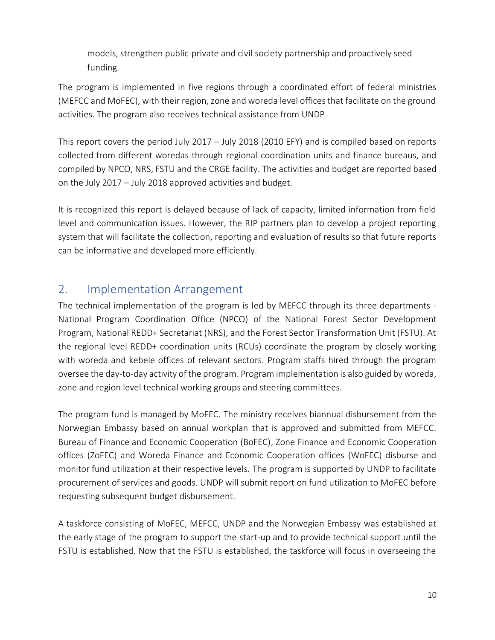models, strengthen public-private and civil society partnership and proactively seed funding.

The program is implemented in five regions through a coordinated effort of federal ministries (MEFCC and MoFEC), with their region, zone and woreda level offices that facilitate on the ground activities. The program also receives technical assistance from UNDP.

This report covers the period July 2017 – July 2018 (2010 EFY) and is compiled based on reports collected from different woredas through regional coordination units and finance bureaus, and compiled by NPCO, NRS, FSTU and the CRGE facility. The activities and budget are reported based on the July 2017 – July 2018 approved activities and budget.

It is recognized this report is delayed because of lack of capacity, limited information from field level and communication issues. However, the RIP partners plan to develop a project reporting system that will facilitate the collection, reporting and evaluation of results so that future reports can be informative and developed more efficiently.

## <span id="page-9-0"></span>2. Implementation Arrangement

The technical implementation of the program is led by MEFCC through its three departments - National Program Coordination Office (NPCO) of the National Forest Sector Development Program, National REDD+ Secretariat (NRS), and the Forest Sector Transformation Unit (FSTU). At the regional level REDD+ coordination units (RCUs) coordinate the program by closely working with woreda and kebele offices of relevant sectors. Program staffs hired through the program oversee the day-to-day activity of the program. Program implementation is also guided by woreda, zone and region level technical working groups and steering committees.

The program fund is managed by MoFEC. The ministry receives biannual disbursement from the Norwegian Embassy based on annual workplan that is approved and submitted from MEFCC. Bureau of Finance and Economic Cooperation (BoFEC), Zone Finance and Economic Cooperation offices (ZoFEC) and Woreda Finance and Economic Cooperation offices (WoFEC) disburse and monitor fund utilization at their respective levels. The program is supported by UNDP to facilitate procurement of services and goods. UNDP will submit report on fund utilization to MoFEC before requesting subsequent budget disbursement.

A taskforce consisting of MoFEC, MEFCC, UNDP and the Norwegian Embassy was established at the early stage of the program to support the start-up and to provide technical support until the FSTU is established. Now that the FSTU is established, the taskforce will focus in overseeing the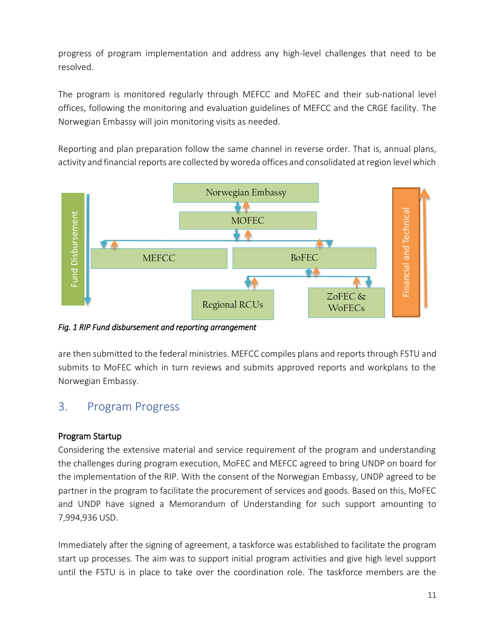progress of program implementation and address any high-level challenges that need to be resolved.

The program is monitored regularly through MEFCC and MoFEC and their sub-national level offices, following the monitoring and evaluation guidelines of MEFCC and the CRGE facility. The Norwegian Embassy will join monitoring visits as needed.

Reporting and plan preparation follow the same channel in reverse order. That is, annual plans, activity and financial reports are collected by woreda offices and consolidated at region level which



*Fig. 1 RIP Fund disbursement and reporting arrangement* 

are then submitted to the federal ministries. MEFCC compiles plans and reports through FSTU and submits to MoFEC which in turn reviews and submits approved reports and workplans to the Norwegian Embassy.

## <span id="page-10-0"></span>3. Program Progress

## Program Startup

Considering the extensive material and service requirement of the program and understanding the challenges during program execution, MoFEC and MEFCC agreed to bring UNDP on board for the implementation of the RIP. With the consent of the Norwegian Embassy, UNDP agreed to be partner in the program to facilitate the procurement of services and goods. Based on this, MoFEC and UNDP have signed a Memorandum of Understanding for such support amounting to 7,994,936 USD.

Immediately after the signing of agreement, a taskforce was established to facilitate the program start up processes. The aim was to support initial program activities and give high level support until the FSTU is in place to take over the coordination role. The taskforce members are the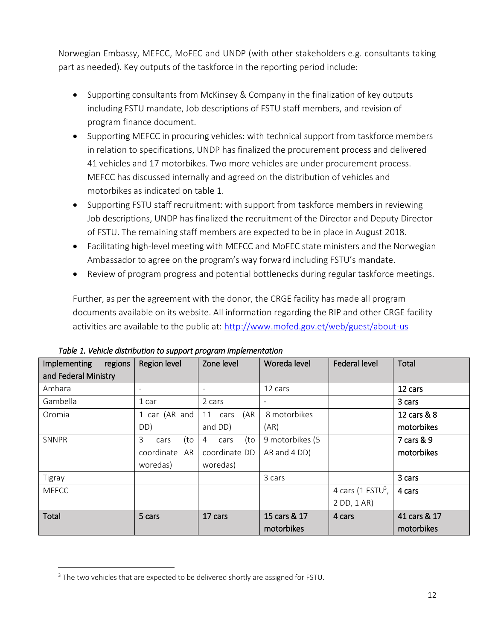Norwegian Embassy, MEFCC, MoFEC and UNDP (with other stakeholders e.g. consultants taking part as needed). Key outputs of the taskforce in the reporting period include:

- Supporting consultants from McKinsey & Company in the finalization of key outputs including FSTU mandate, Job descriptions of FSTU staff members, and revision of program finance document.
- Supporting MEFCC in procuring vehicles: with technical support from taskforce members in relation to specifications, UNDP has finalized the procurement process and delivered 41 vehicles and 17 motorbikes. Two more vehicles are under procurement process. MEFCC has discussed internally and agreed on the distribution of vehicles and motorbikes as indicated on table 1.
- Supporting FSTU staff recruitment: with support from taskforce members in reviewing Job descriptions, UNDP has finalized the recruitment of the Director and Deputy Director of FSTU. The remaining staff members are expected to be in place in August 2018.
- Facilitating high-level meeting with MEFCC and MoFEC state ministers and the Norwegian Ambassador to agree on the program's way forward including FSTU's mandate.
- Review of program progress and potential bottlenecks during regular taskforce meetings.

Further, as per the agreement with the donor, the CRGE facility has made all program documents available on its website. All information regarding the RIP and other CRGE facility activities are available to the public at: <http://www.mofed.gov.et/web/guest/about-us>

| Implementing<br>regions | Region level             | Zone level       | Woreda level    | <b>Federal level</b>          | Total        |
|-------------------------|--------------------------|------------------|-----------------|-------------------------------|--------------|
| and Federal Ministry    |                          |                  |                 |                               |              |
| Amhara                  | $\overline{\phantom{a}}$ | -                | 12 cars         |                               | 12 cars      |
| Gambella                | 1 car                    | 2 cars           |                 |                               | 3 cars       |
| Oromia                  | 1 car (AR and            | (AR)<br>11 cars  | 8 motorbikes    |                               | 12 cars & 8  |
|                         | DD)                      | and DD)          | (AR)            |                               | motorbikes   |
| SNNPR                   | 3<br>(to<br>cars         | (to<br>4<br>cars | 9 motorbikes (5 |                               | 7 cars & 9   |
|                         | coordinate<br>AR         | coordinate DD    | AR and 4 DD)    |                               | motorbikes   |
|                         | woredas)                 | woredas)         |                 |                               |              |
| Tigray                  |                          |                  | 3 cars          |                               | 3 cars       |
| <b>MEFCC</b>            |                          |                  |                 | 4 cars (1 FSTU <sup>3</sup> , | 4 cars       |
|                         |                          |                  |                 | 2 DD, 1 AR)                   |              |
| Total                   | 5 cars                   | 17 cars          | 15 cars & 17    | 4 cars                        | 41 cars & 17 |
|                         |                          |                  | motorbikes      |                               | motorbikes   |

*Table 1. Vehicle distribution to support program implementation* 

 $\overline{a}$ 

<sup>&</sup>lt;sup>3</sup> The two vehicles that are expected to be delivered shortly are assigned for FSTU.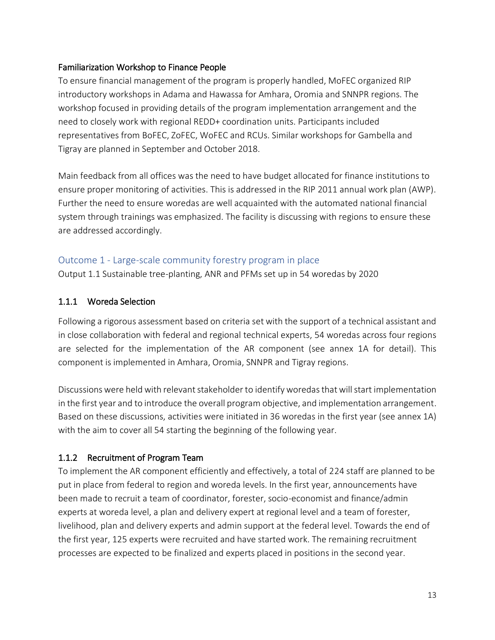#### Familiarization Workshop to Finance People

To ensure financial management of the program is properly handled, MoFEC organized RIP introductory workshops in Adama and Hawassa for Amhara, Oromia and SNNPR regions. The workshop focused in providing details of the program implementation arrangement and the need to closely work with regional REDD+ coordination units. Participants included representatives from BoFEC, ZoFEC, WoFEC and RCUs. Similar workshops for Gambella and Tigray are planned in September and October 2018.

Main feedback from all offices was the need to have budget allocated for finance institutions to ensure proper monitoring of activities. This is addressed in the RIP 2011 annual work plan (AWP). Further the need to ensure woredas are well acquainted with the automated national financial system through trainings was emphasized. The facility is discussing with regions to ensure these are addressed accordingly.

#### <span id="page-12-0"></span>Outcome 1 - Large-scale community forestry program in place

Output 1.1 Sustainable tree-planting, ANR and PFMs set up in 54 woredas by 2020

#### 1.1.1 Woreda Selection

Following a rigorous assessment based on criteria set with the support of a technical assistant and in close collaboration with federal and regional technical experts, 54 woredas across four regions are selected for the implementation of the AR component (see annex 1A for detail). This component is implemented in Amhara, Oromia, SNNPR and Tigray regions.

Discussions were held with relevant stakeholder to identify woredas that will start implementation in the first year and to introduce the overall program objective, and implementation arrangement. Based on these discussions, activities were initiated in 36 woredas in the first year (see annex 1A) with the aim to cover all 54 starting the beginning of the following year.

#### 1.1.2 Recruitment of Program Team

To implement the AR component efficiently and effectively, a total of 224 staff are planned to be put in place from federal to region and woreda levels. In the first year, announcements have been made to recruit a team of coordinator, forester, socio-economist and finance/admin experts at woreda level, a plan and delivery expert at regional level and a team of forester, livelihood, plan and delivery experts and admin support at the federal level. Towards the end of the first year, 125 experts were recruited and have started work. The remaining recruitment processes are expected to be finalized and experts placed in positions in the second year.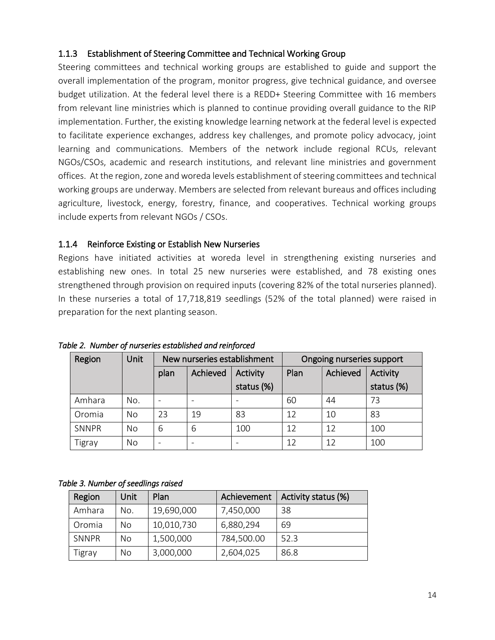#### 1.1.3 Establishment of Steering Committee and Technical Working Group

Steering committees and technical working groups are established to guide and support the overall implementation of the program, monitor progress, give technical guidance, and oversee budget utilization. At the federal level there is a REDD+ Steering Committee with 16 members from relevant line ministries which is planned to continue providing overall guidance to the RIP implementation. Further, the existing knowledge learning network at the federal level is expected to facilitate experience exchanges, address key challenges, and promote policy advocacy, joint learning and communications. Members of the network include regional RCUs, relevant NGOs/CSOs, academic and research institutions, and relevant line ministries and government offices. At the region, zone and woreda levels establishment of steering committees and technical working groups are underway. Members are selected from relevant bureaus and offices including agriculture, livestock, energy, forestry, finance, and cooperatives. Technical working groups include experts from relevant NGOs / CSOs.

#### 1.1.4 Reinforce Existing or Establish New Nurseries

Regions have initiated activities at woreda level in strengthening existing nurseries and establishing new ones. In total 25 new nurseries were established, and 78 existing ones strengthened through provision on required inputs (covering 82% of the total nurseries planned). In these nurseries a total of 17,718,819 seedlings (52% of the total planned) were raised in preparation for the next planting season.

| Region | Unit      | New nurseries establishment |    |            |      | Ongoing nurseries support |            |
|--------|-----------|-----------------------------|----|------------|------|---------------------------|------------|
|        |           | <b>Achieved</b><br>plan     |    | Activity   | Plan | Achieved                  | Activity   |
|        |           |                             |    | status (%) |      |                           | status (%) |
| Amhara | No.       |                             |    |            | 60   | 44                        | 73         |
| Oromia | <b>No</b> | 23                          | 19 | 83         | 12   | 10                        | 83         |
| SNNPR  | <b>No</b> | 6                           | 6  | 100        | 12   | 12                        | 100        |
| Tigray | No        |                             |    |            | 12   | 12                        | 100        |

*Table 2. Number of nurseries established and reinforced* 

*Table 3. Number of seedlings raised* 

| Region | Unit | Plan       | Achievement | Activity status (%) |
|--------|------|------------|-------------|---------------------|
| Amhara | No.  | 19,690,000 | 7,450,000   | 38                  |
| Oromia | No   | 10,010,730 | 6,880,294   | 69                  |
| SNNPR  | No   | 1,500,000  | 784,500.00  | 52.3                |
| Tigray | No   | 3,000,000  | 2,604,025   | 86.8                |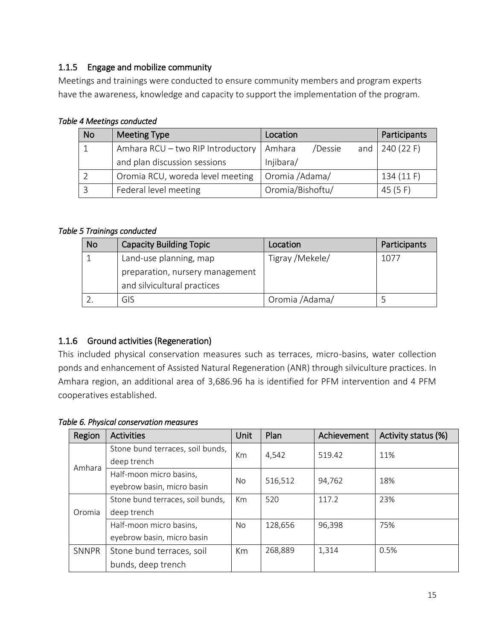## 1.1.5 Engage and mobilize community

Meetings and trainings were conducted to ensure community members and program experts have the awareness, knowledge and capacity to support the implementation of the program.

| <b>No</b> | <b>Meeting Type</b>               | Location          | Participants            |
|-----------|-----------------------------------|-------------------|-------------------------|
|           | Amhara RCU - two RIP Introductory | /Dessie<br>Amhara | and $\sqrt{240}$ (22 F) |
|           | and plan discussion sessions      | Injibara/         |                         |
|           | Oromia RCU, woreda level meeting  | Oromia /Adama/    | 134(11)                 |
|           | Federal level meeting             | Oromia/Bishoftu/  | 45 $(5 F)$              |

*Table 4 Meetings conducted* 

#### *Table 5 Trainings conducted*

| <b>No</b> | <b>Capacity Building Topic</b>  | Location        | Participants |
|-----------|---------------------------------|-----------------|--------------|
|           | Land-use planning, map          | Tigray /Mekele/ | 1077         |
|           | preparation, nursery management |                 |              |
|           | and silvicultural practices     |                 |              |
|           | GIS                             | Oromia /Adama/  |              |

## 1.1.6 Ground activities (Regeneration)

This included physical conservation measures such as terraces, micro-basins, water collection ponds and enhancement of Assisted Natural Regeneration (ANR) through silviculture practices. In Amhara region, an additional area of 3,686.96 ha is identified for PFM intervention and 4 PFM cooperatives established.

| Region       | <b>Activities</b>                | Unit | Plan    | Achievement | Activity status (%) |  |
|--------------|----------------------------------|------|---------|-------------|---------------------|--|
|              | Stone bund terraces, soil bunds, | Km   | 4,542   | 519.42      | 11%                 |  |
| Amhara       | deep trench                      |      |         |             |                     |  |
|              | Half-moon micro basins,          | No.  | 516,512 | 94,762      | 18%                 |  |
|              | eyebrow basin, micro basin       |      |         |             |                     |  |
|              | Stone bund terraces, soil bunds, | Km   | 520     | 117.2       | 23%                 |  |
| Oromia       | deep trench                      |      |         |             |                     |  |
|              | Half-moon micro basins,          | No.  | 128,656 | 96,398      | 75%                 |  |
|              | eyebrow basin, micro basin       |      |         |             |                     |  |
| <b>SNNPR</b> | Stone bund terraces, soil        | Km   | 268,889 | 1,314       | 0.5%                |  |
|              | bunds, deep trench               |      |         |             |                     |  |

#### *Table 6. Physical conservation measures*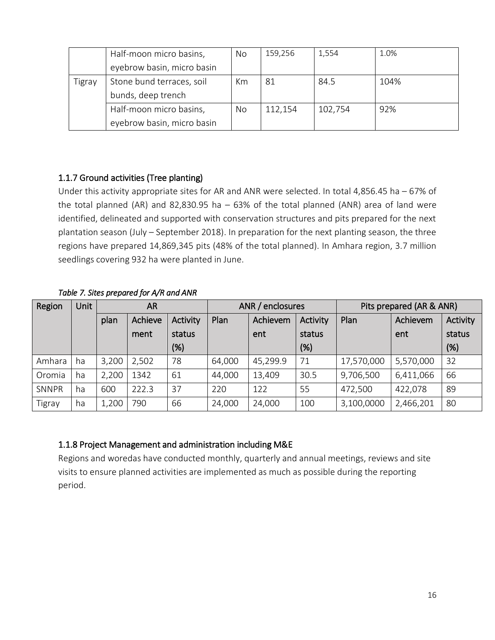|        | Half-moon micro basins,    | No | 159,256 | 1,554   | 1.0% |
|--------|----------------------------|----|---------|---------|------|
|        | eyebrow basin, micro basin |    |         |         |      |
| Tigray | Stone bund terraces, soil  | Km | 81      | 84.5    | 104% |
|        | bunds, deep trench         |    |         |         |      |
|        | Half-moon micro basins,    | No | 112,154 | 102,754 | 92%  |
|        | eyebrow basin, micro basin |    |         |         |      |

## 1.1.7 Ground activities (Tree planting)

Under this activity appropriate sites for AR and ANR were selected. In total 4,856.45 ha – 67% of the total planned (AR) and 82,830.95 ha  $-63%$  of the total planned (ANR) area of land were identified, delineated and supported with conservation structures and pits prepared for the next plantation season (July – September 2018). In preparation for the next planting season, the three regions have prepared 14,869,345 pits (48% of the total planned). In Amhara region, 3.7 million seedlings covering 932 ha were planted in June.

#### *Table 7. Sites prepared for A/R and ANR*

| Region        | <b>Unit</b> | <b>AR</b> |         |          | ANR / enclosures |          |          | Pits prepared (AR & ANR) |           |          |
|---------------|-------------|-----------|---------|----------|------------------|----------|----------|--------------------------|-----------|----------|
|               |             | plan      | Achieve | Activity | Plan             | Achievem | Activity | Plan                     | Achievem  | Activity |
|               |             |           | ment    | status   |                  | ent      | status   |                          | ent       | status   |
|               |             |           |         | $(\%)$   |                  |          | (%)      |                          |           | (%)      |
| Amhara        | ha          | 3,200     | 2,502   | 78       | 64,000           | 45,299.9 | 71       | 17,570,000               | 5,570,000 | 32       |
| Oromia        | ha          | 2,200     | 1342    | 61       | 44,000           | 13,409   | 30.5     | 9,706,500                | 6,411,066 | 66       |
| SNNPR         | ha          | 600       | 222.3   | 37       | 220              | 122      | 55       | 472,500                  | 422,078   | 89       |
| <b>Tigray</b> | ha          | 1,200     | 790     | 66       | 24,000           | 24,000   | 100      | 3,100,0000               | 2,466,201 | 80       |

## 1.1.8 Project Management and administration including M&E

Regions and woredas have conducted monthly, quarterly and annual meetings, reviews and site visits to ensure planned activities are implemented as much as possible during the reporting period.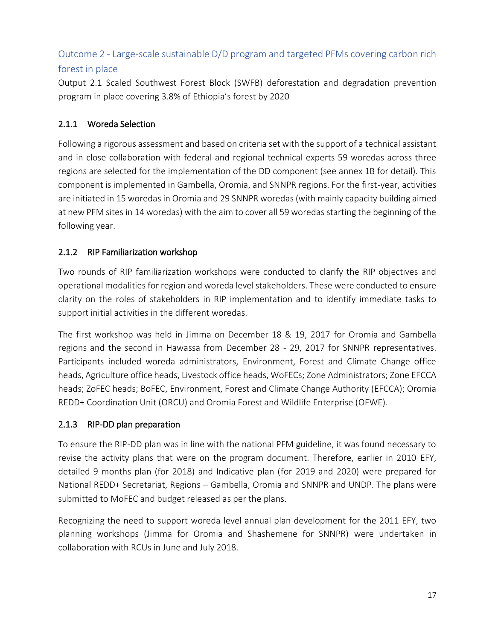# <span id="page-16-0"></span>Outcome 2 - Large-scale sustainable D/D program and targeted PFMs covering carbon rich forest in place

Output 2.1 Scaled Southwest Forest Block (SWFB) deforestation and degradation prevention program in place covering 3.8% of Ethiopia's forest by 2020

## 2.1.1 Woreda Selection

Following a rigorous assessment and based on criteria set with the support of a technical assistant and in close collaboration with federal and regional technical experts 59 woredas across three regions are selected for the implementation of the DD component (see annex 1B for detail). This component is implemented in Gambella, Oromia, and SNNPR regions. For the first-year, activities are initiated in 15 woredas in Oromia and 29 SNNPR woredas (with mainly capacity building aimed at new PFM sites in 14 woredas) with the aim to cover all 59 woredas starting the beginning of the following year.

## 2.1.2 RIP Familiarization workshop

Two rounds of RIP familiarization workshops were conducted to clarify the RIP objectives and operational modalities for region and woreda level stakeholders. These were conducted to ensure clarity on the roles of stakeholders in RIP implementation and to identify immediate tasks to support initial activities in the different woredas.

The first workshop was held in Jimma on December 18 & 19, 2017 for Oromia and Gambella regions and the second in Hawassa from December 28 - 29, 2017 for SNNPR representatives. Participants included woreda administrators, Environment, Forest and Climate Change office heads, Agriculture office heads, Livestock office heads, WoFECs; Zone Administrators; Zone EFCCA heads; ZoFEC heads; BoFEC, Environment, Forest and Climate Change Authority (EFCCA); Oromia REDD+ Coordination Unit (ORCU) and Oromia Forest and Wildlife Enterprise (OFWE).

## 2.1.3 RIP-DD plan preparation

To ensure the RIP-DD plan was in line with the national PFM guideline, it was found necessary to revise the activity plans that were on the program document. Therefore, earlier in 2010 EFY, detailed 9 months plan (for 2018) and Indicative plan (for 2019 and 2020) were prepared for National REDD+ Secretariat, Regions – Gambella, Oromia and SNNPR and UNDP. The plans were submitted to MoFEC and budget released as per the plans.

Recognizing the need to support woreda level annual plan development for the 2011 EFY, two planning workshops (Jimma for Oromia and Shashemene for SNNPR) were undertaken in collaboration with RCUs in June and July 2018.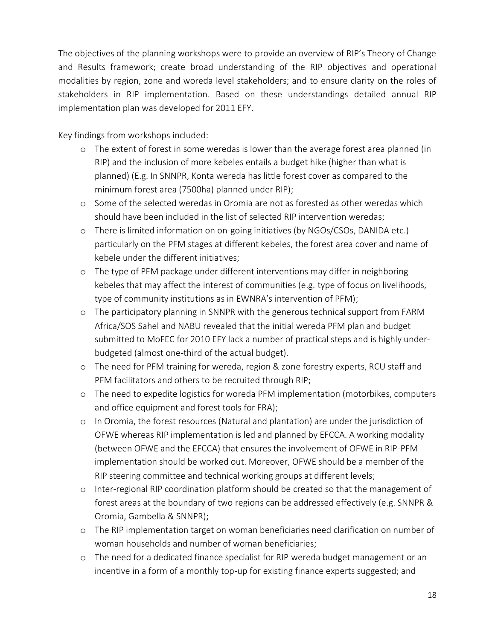The objectives of the planning workshops were to provide an overview of RIP's Theory of Change and Results framework; create broad understanding of the RIP objectives and operational modalities by region, zone and woreda level stakeholders; and to ensure clarity on the roles of stakeholders in RIP implementation. Based on these understandings detailed annual RIP implementation plan was developed for 2011 EFY.

Key findings from workshops included:

- o The extent of forest in some weredas is lower than the average forest area planned (in RIP) and the inclusion of more kebeles entails a budget hike (higher than what is planned) (E.g. In SNNPR, Konta wereda has little forest cover as compared to the minimum forest area (7500ha) planned under RIP);
- o Some of the selected weredas in Oromia are not as forested as other weredas which should have been included in the list of selected RIP intervention weredas;
- o There is limited information on on-going initiatives (by NGOs/CSOs, DANIDA etc.) particularly on the PFM stages at different kebeles, the forest area cover and name of kebele under the different initiatives;
- o The type of PFM package under different interventions may differ in neighboring kebeles that may affect the interest of communities (e.g. type of focus on livelihoods, type of community institutions as in EWNRA's intervention of PFM);
- o The participatory planning in SNNPR with the generous technical support from FARM Africa/SOS Sahel and NABU revealed that the initial wereda PFM plan and budget submitted to MoFEC for 2010 EFY lack a number of practical steps and is highly underbudgeted (almost one-third of the actual budget).
- o The need for PFM training for wereda, region & zone forestry experts, RCU staff and PFM facilitators and others to be recruited through RIP;
- o The need to expedite logistics for woreda PFM implementation (motorbikes, computers and office equipment and forest tools for FRA);
- o In Oromia, the forest resources (Natural and plantation) are under the jurisdiction of OFWE whereas RIP implementation is led and planned by EFCCA. A working modality (between OFWE and the EFCCA) that ensures the involvement of OFWE in RIP-PFM implementation should be worked out. Moreover, OFWE should be a member of the RIP steering committee and technical working groups at different levels;
- o Inter-regional RIP coordination platform should be created so that the management of forest areas at the boundary of two regions can be addressed effectively (e.g. SNNPR & Oromia, Gambella & SNNPR);
- o The RIP implementation target on woman beneficiaries need clarification on number of woman households and number of woman beneficiaries;
- o The need for a dedicated finance specialist for RIP wereda budget management or an incentive in a form of a monthly top-up for existing finance experts suggested; and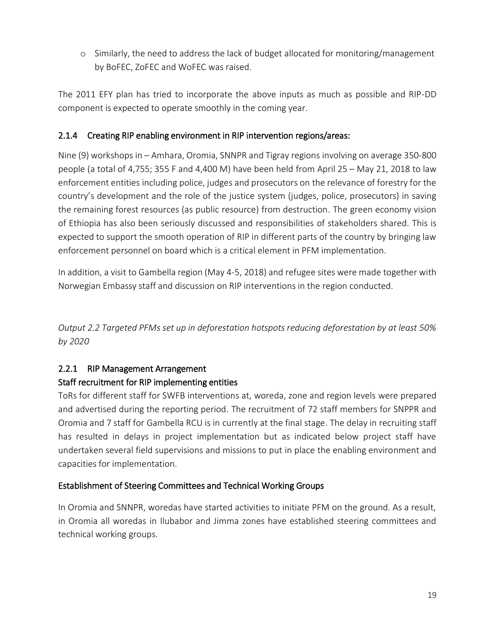o Similarly, the need to address the lack of budget allocated for monitoring/management by BoFEC, ZoFEC and WoFEC was raised.

The 2011 EFY plan has tried to incorporate the above inputs as much as possible and RIP-DD component is expected to operate smoothly in the coming year.

#### 2.1.4 Creating RIP enabling environment in RIP intervention regions/areas:

Nine (9) workshops in – Amhara, Oromia, SNNPR and Tigray regions involving on average 350-800 people (a total of 4,755; 355 F and 4,400 M) have been held from April 25 – May 21, 2018 to law enforcement entities including police, judges and prosecutors on the relevance of forestry for the country's development and the role of the justice system (judges, police, prosecutors) in saving the remaining forest resources (as public resource) from destruction. The green economy vision of Ethiopia has also been seriously discussed and responsibilities of stakeholders shared. This is expected to support the smooth operation of RIP in different parts of the country by bringing law enforcement personnel on board which is a critical element in PFM implementation.

In addition, a visit to Gambella region (May 4-5, 2018) and refugee sites were made together with Norwegian Embassy staff and discussion on RIP interventions in the region conducted.

*Output 2.2 Targeted PFMs set up in deforestation hotspots reducing deforestation by at least 50% by 2020*

## 2.2.1 RIP Management Arrangement

#### Staff recruitment for RIP implementing entities

ToRs for different staff for SWFB interventions at, woreda, zone and region levels were prepared and advertised during the reporting period. The recruitment of 72 staff members for SNPPR and Oromia and 7 staff for Gambella RCU is in currently at the final stage. The delay in recruiting staff has resulted in delays in project implementation but as indicated below project staff have undertaken several field supervisions and missions to put in place the enabling environment and capacities for implementation.

#### Establishment of Steering Committees and Technical Working Groups

In Oromia and SNNPR, woredas have started activities to initiate PFM on the ground. As a result, in Oromia all woredas in Ilubabor and Jimma zones have established steering committees and technical working groups.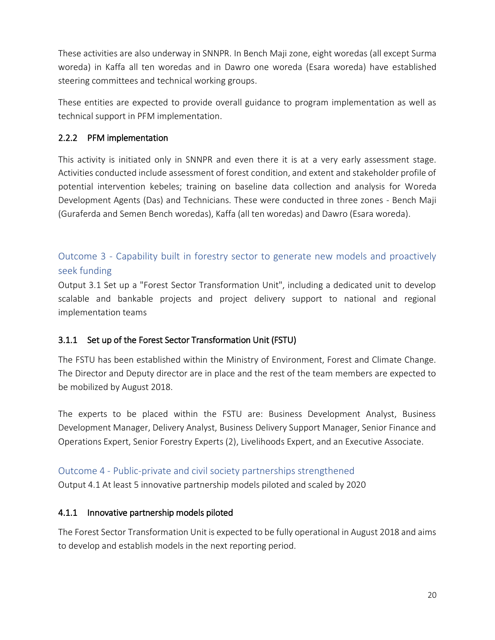These activities are also underway in SNNPR. In Bench Maji zone, eight woredas (all except Surma woreda) in Kaffa all ten woredas and in Dawro one woreda (Esara woreda) have established steering committees and technical working groups.

These entities are expected to provide overall guidance to program implementation as well as technical support in PFM implementation.

#### 2.2.2 PFM implementation

This activity is initiated only in SNNPR and even there it is at a very early assessment stage. Activities conducted include assessment of forest condition, and extent and stakeholder profile of potential intervention kebeles; training on baseline data collection and analysis for Woreda Development Agents (Das) and Technicians. These were conducted in three zones - Bench Maji (Guraferda and Semen Bench woredas), Kaffa (all ten woredas) and Dawro (Esara woreda).

## <span id="page-19-0"></span>Outcome 3 - Capability built in forestry sector to generate new models and proactively seek funding

Output 3.1 Set up a "Forest Sector Transformation Unit", including a dedicated unit to develop scalable and bankable projects and project delivery support to national and regional implementation teams

## 3.1.1 Set up of the Forest Sector Transformation Unit (FSTU)

The FSTU has been established within the Ministry of Environment, Forest and Climate Change. The Director and Deputy director are in place and the rest of the team members are expected to be mobilized by August 2018.

The experts to be placed within the FSTU are: Business Development Analyst, Business Development Manager, Delivery Analyst, Business Delivery Support Manager, Senior Finance and Operations Expert, Senior Forestry Experts (2), Livelihoods Expert, and an Executive Associate.

## <span id="page-19-1"></span>Outcome 4 - Public-private and civil society partnerships strengthened

Output 4.1 At least 5 innovative partnership models piloted and scaled by 2020

## 4.1.1 Innovative partnership models piloted

The Forest Sector Transformation Unit is expected to be fully operational in August 2018 and aims to develop and establish models in the next reporting period.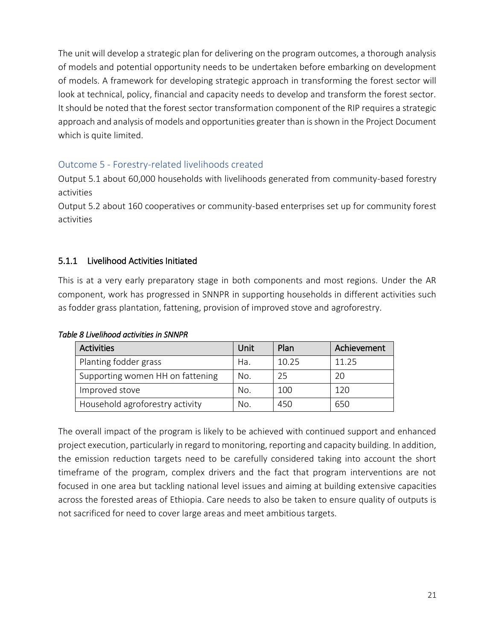The unit will develop a strategic plan for delivering on the program outcomes, a thorough analysis of models and potential opportunity needs to be undertaken before embarking on development of models. A framework for developing strategic approach in transforming the forest sector will look at technical, policy, financial and capacity needs to develop and transform the forest sector. It should be noted that the forest sector transformation component of the RIP requires a strategic approach and analysis of models and opportunities greater than is shown in the Project Document which is quite limited.

## <span id="page-20-0"></span>Outcome 5 - Forestry-related livelihoods created

Output 5.1 about 60,000 households with livelihoods generated from community-based forestry activities

Output 5.2 about 160 cooperatives or community-based enterprises set up for community forest activities

#### 5.1.1 Livelihood Activities Initiated

This is at a very early preparatory stage in both components and most regions. Under the AR component, work has progressed in SNNPR in supporting households in different activities such as fodder grass plantation, fattening, provision of improved stove and agroforestry.

| <b>Activities</b>                | Unit | Plan  | Achievement |
|----------------------------------|------|-------|-------------|
| Planting fodder grass            | Ha.  | 10.25 | 11.25       |
| Supporting women HH on fattening | No.  | 25    | 20          |
| Improved stove                   | No.  | 100   | 120         |
| Household agroforestry activity  | No.  | 450   | 650         |

#### *Table 8 Livelihood activities in SNNPR*

The overall impact of the program is likely to be achieved with continued support and enhanced project execution, particularly in regard to monitoring, reporting and capacity building. In addition, the emission reduction targets need to be carefully considered taking into account the short timeframe of the program, complex drivers and the fact that program interventions are not focused in one area but tackling national level issues and aiming at building extensive capacities across the forested areas of Ethiopia. Care needs to also be taken to ensure quality of outputs is not sacrificed for need to cover large areas and meet ambitious targets.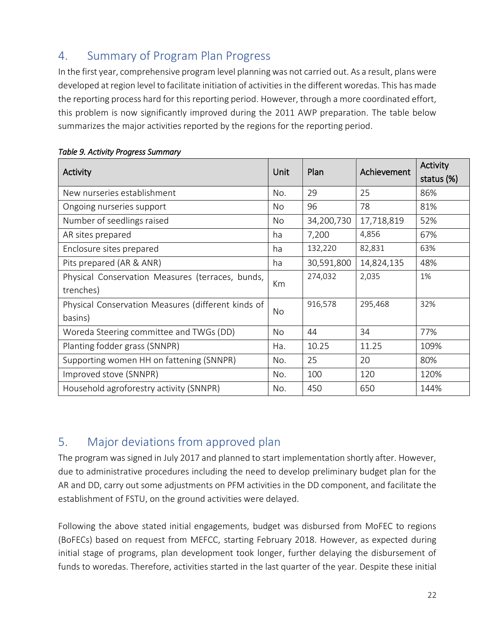# <span id="page-21-0"></span>4. Summary of Program Plan Progress

In the first year, comprehensive program level planning was not carried out. As a result, plans were developed at region level to facilitate initiation of activities in the different woredas. This has made the reporting process hard for this reporting period. However, through a more coordinated effort, this problem is now significantly improved during the 2011 AWP preparation. The table below summarizes the major activities reported by the regions for the reporting period.

| Activity                                           | Unit | Plan       | Achievement | Activity   |
|----------------------------------------------------|------|------------|-------------|------------|
|                                                    |      |            |             | status (%) |
| New nurseries establishment                        | No.  | 29         | 25          | 86%        |
| Ongoing nurseries support                          | No   | 96         | 78          | 81%        |
| Number of seedlings raised                         | No   | 34,200,730 | 17,718,819  | 52%        |
| AR sites prepared                                  | ha   | 7,200      | 4,856       | 67%        |
| Enclosure sites prepared                           | ha   | 132,220    | 82,831      | 63%        |
| Pits prepared (AR & ANR)                           | ha   | 30,591,800 | 14,824,135  | 48%        |
| Physical Conservation Measures (terraces, bunds,   |      | 274,032    | 2,035       | 1%         |
| trenches)                                          | Km   |            |             |            |
| Physical Conservation Measures (different kinds of | No   | 916,578    | 295,468     | 32%        |
| basins)                                            |      |            |             |            |
| Woreda Steering committee and TWGs (DD)            | No   | 44         | 34          | 77%        |
| Planting fodder grass (SNNPR)                      | Ha.  | 10.25      | 11.25       | 109%       |
| Supporting women HH on fattening (SNNPR)           | No.  | 25         | 20          | 80%        |
| Improved stove (SNNPR)                             |      | 100        | 120         | 120%       |
| Household agroforestry activity (SNNPR)            | No.  | 450        | 650         | 144%       |

#### *Table 9. Activity Progress Summary*

# <span id="page-21-1"></span>5. Major deviations from approved plan

The program was signed in July 2017 and planned to start implementation shortly after. However, due to administrative procedures including the need to develop preliminary budget plan for the AR and DD, carry out some adjustments on PFM activities in the DD component, and facilitate the establishment of FSTU, on the ground activities were delayed.

Following the above stated initial engagements, budget was disbursed from MoFEC to regions (BoFECs) based on request from MEFCC, starting February 2018. However, as expected during initial stage of programs, plan development took longer, further delaying the disbursement of funds to woredas. Therefore, activities started in the last quarter of the year. Despite these initial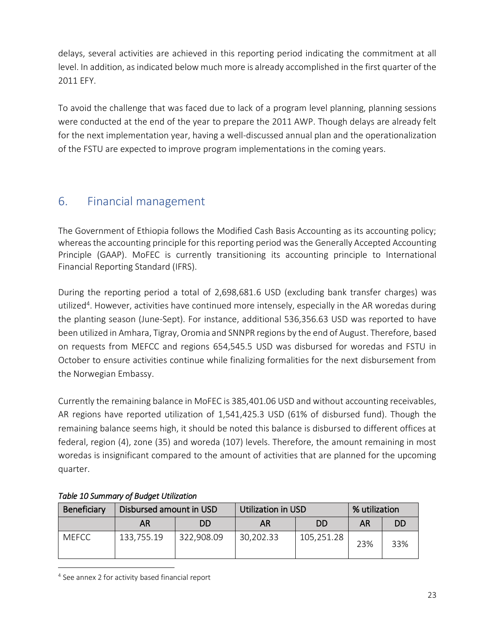delays, several activities are achieved in this reporting period indicating the commitment at all level. In addition, as indicated below much more is already accomplished in the first quarter of the 2011 EFY.

To avoid the challenge that was faced due to lack of a program level planning, planning sessions were conducted at the end of the year to prepare the 2011 AWP. Though delays are already felt for the next implementation year, having a well-discussed annual plan and the operationalization of the FSTU are expected to improve program implementations in the coming years.

# <span id="page-22-0"></span>6. Financial management

The Government of Ethiopia follows the Modified Cash Basis Accounting as its accounting policy; whereas the accounting principle for this reporting period was the Generally Accepted Accounting Principle (GAAP). MoFEC is currently transitioning its accounting principle to International Financial Reporting Standard (IFRS).

During the reporting period a total of 2,698,681.6 USD (excluding bank transfer charges) was utilized<sup>4</sup>. However, activities have continued more intensely, especially in the AR woredas during the planting season (June-Sept). For instance, additional 536,356.63 USD was reported to have been utilized in Amhara, Tigray, Oromia and SNNPR regions by the end of August. Therefore, based on requests from MEFCC and regions 654,545.5 USD was disbursed for woredas and FSTU in October to ensure activities continue while finalizing formalities for the next disbursement from the Norwegian Embassy.

Currently the remaining balance in MoFEC is 385,401.06 USD and without accounting receivables, AR regions have reported utilization of 1,541,425.3 USD (61% of disbursed fund). Though the remaining balance seems high, it should be noted this balance is disbursed to different offices at federal, region (4), zone (35) and woreda (107) levels. Therefore, the amount remaining in most woredas is insignificant compared to the amount of activities that are planned for the upcoming quarter.

| Beneficiary  | Disbursed amount in USD |            | <b>Utilization in USD</b> |            | % utilization |     |
|--------------|-------------------------|------------|---------------------------|------------|---------------|-----|
|              | AR                      | DD         | AR                        | DD.        | AR            |     |
| <b>MEFCC</b> | 133,755.19              | 322,908.09 | 30,202.33                 | 105,251.28 | 23%           | 33% |

## *Table 10 Summary of Budget Utilization*

<sup>4</sup> See annex 2 for activity based financial report

 $\overline{a}$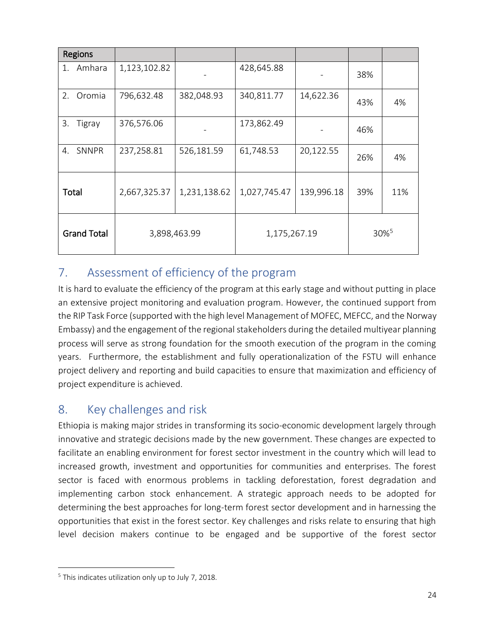| Regions            |              |              |              |            |     |                  |
|--------------------|--------------|--------------|--------------|------------|-----|------------------|
| Amhara<br>1.       | 1,123,102.82 |              | 428,645.88   |            | 38% |                  |
| Oromia<br>2.       | 796,632.48   | 382,048.93   | 340,811.77   | 14,622.36  | 43% | 4%               |
| 3.<br>Tigray       | 376,576.06   |              | 173,862.49   |            | 46% |                  |
| 4. SNNPR           | 237,258.81   | 526,181.59   | 61,748.53    | 20,122.55  | 26% | 4%               |
| Total              | 2,667,325.37 | 1,231,138.62 | 1,027,745.47 | 139,996.18 | 39% | 11%              |
| <b>Grand Total</b> |              | 3,898,463.99 | 1,175,267.19 |            |     | 30% <sup>5</sup> |

# <span id="page-23-0"></span>7. Assessment of efficiency of the program

It is hard to evaluate the efficiency of the program at this early stage and without putting in place an extensive project monitoring and evaluation program. However, the continued support from the RIP Task Force (supported with the high level Management of MOFEC, MEFCC, and the Norway Embassy) and the engagement of the regional stakeholders during the detailed multiyear planning process will serve as strong foundation for the smooth execution of the program in the coming years. Furthermore, the establishment and fully operationalization of the FSTU will enhance project delivery and reporting and build capacities to ensure that maximization and efficiency of project expenditure is achieved.

# <span id="page-23-1"></span>8. Key challenges and risk

Ethiopia is making major strides in transforming its socio-economic development largely through innovative and strategic decisions made by the new government. These changes are expected to facilitate an enabling environment for forest sector investment in the country which will lead to increased growth, investment and opportunities for communities and enterprises. The forest sector is faced with enormous problems in tackling deforestation, forest degradation and implementing carbon stock enhancement. A strategic approach needs to be adopted for determining the best approaches for long-term forest sector development and in harnessing the opportunities that exist in the forest sector. Key challenges and risks relate to ensuring that high level decision makers continue to be engaged and be supportive of the forest sector

 $\overline{a}$ 

<sup>&</sup>lt;sup>5</sup> This indicates utilization only up to July 7, 2018.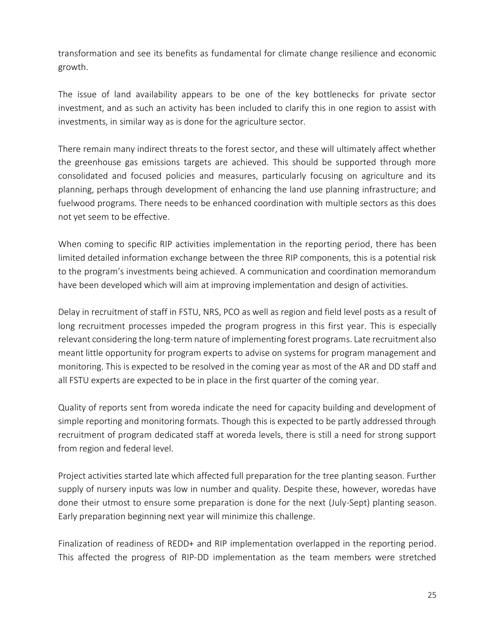transformation and see its benefits as fundamental for climate change resilience and economic growth.

The issue of land availability appears to be one of the key bottlenecks for private sector investment, and as such an activity has been included to clarify this in one region to assist with investments, in similar way as is done for the agriculture sector.

There remain many indirect threats to the forest sector, and these will ultimately affect whether the greenhouse gas emissions targets are achieved. This should be supported through more consolidated and focused policies and measures, particularly focusing on agriculture and its planning, perhaps through development of enhancing the land use planning infrastructure; and fuelwood programs. There needs to be enhanced coordination with multiple sectors as this does not yet seem to be effective.

When coming to specific RIP activities implementation in the reporting period, there has been limited detailed information exchange between the three RIP components, this is a potential risk to the program's investments being achieved. A communication and coordination memorandum have been developed which will aim at improving implementation and design of activities.

Delay in recruitment of staff in FSTU, NRS, PCO as well as region and field level posts as a result of long recruitment processes impeded the program progress in this first year. This is especially relevant considering the long-term nature of implementing forest programs. Late recruitment also meant little opportunity for program experts to advise on systems for program management and monitoring. This is expected to be resolved in the coming year as most of the AR and DD staff and all FSTU experts are expected to be in place in the first quarter of the coming year.

Quality of reports sent from woreda indicate the need for capacity building and development of simple reporting and monitoring formats. Though this is expected to be partly addressed through recruitment of program dedicated staff at woreda levels, there is still a need for strong support from region and federal level.

Project activities started late which affected full preparation for the tree planting season. Further supply of nursery inputs was low in number and quality. Despite these, however, woredas have done their utmost to ensure some preparation is done for the next (July-Sept) planting season. Early preparation beginning next year will minimize this challenge.

Finalization of readiness of REDD+ and RIP implementation overlapped in the reporting period. This affected the progress of RIP-DD implementation as the team members were stretched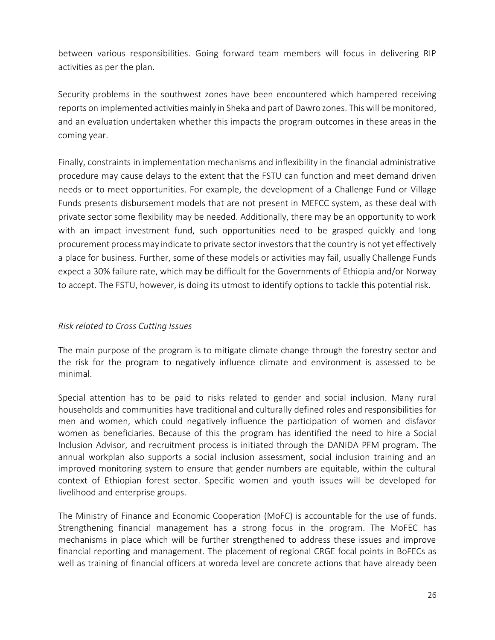between various responsibilities. Going forward team members will focus in delivering RIP activities as per the plan.

Security problems in the southwest zones have been encountered which hampered receiving reports on implemented activitiesmainly in Sheka and part of Dawro zones. This will be monitored, and an evaluation undertaken whether this impacts the program outcomes in these areas in the coming year.

Finally, constraints in implementation mechanisms and inflexibility in the financial administrative procedure may cause delays to the extent that the FSTU can function and meet demand driven needs or to meet opportunities. For example, the development of a Challenge Fund or Village Funds presents disbursement models that are not present in MEFCC system, as these deal with private sector some flexibility may be needed. Additionally, there may be an opportunity to work with an impact investment fund, such opportunities need to be grasped quickly and long procurement process may indicate to private sector investors that the country is not yet effectively a place for business. Further, some of these models or activities may fail, usually Challenge Funds expect a 30% failure rate, which may be difficult for the Governments of Ethiopia and/or Norway to accept. The FSTU, however, is doing its utmost to identify options to tackle this potential risk.

#### *Risk related to Cross Cutting Issues*

The main purpose of the program is to mitigate climate change through the forestry sector and the risk for the program to negatively influence climate and environment is assessed to be minimal.

Special attention has to be paid to risks related to gender and social inclusion. Many rural households and communities have traditional and culturally defined roles and responsibilities for men and women, which could negatively influence the participation of women and disfavor women as beneficiaries. Because of this the program has identified the need to hire a Social Inclusion Advisor, and recruitment process is initiated through the DANIDA PFM program. The annual workplan also supports a social inclusion assessment, social inclusion training and an improved monitoring system to ensure that gender numbers are equitable, within the cultural context of Ethiopian forest sector. Specific women and youth issues will be developed for livelihood and enterprise groups.

The Ministry of Finance and Economic Cooperation (MoFC) is accountable for the use of funds. Strengthening financial management has a strong focus in the program. The MoFEC has mechanisms in place which will be further strengthened to address these issues and improve financial reporting and management. The placement of regional CRGE focal points in BoFECs as well as training of financial officers at woreda level are concrete actions that have already been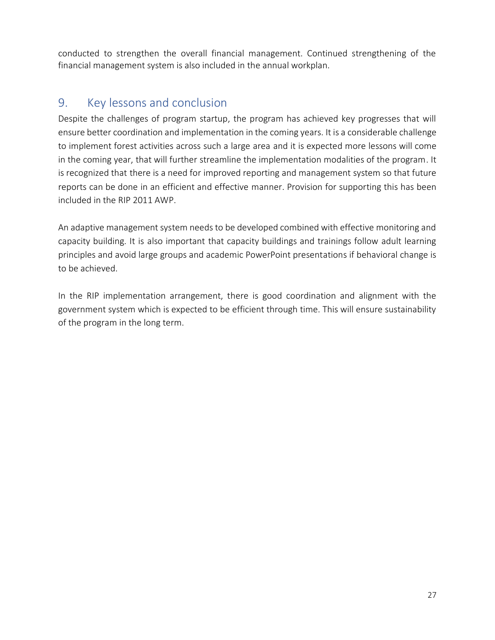conducted to strengthen the overall financial management. Continued strengthening of the financial management system is also included in the annual workplan.

# <span id="page-26-0"></span>9. Key lessons and conclusion

Despite the challenges of program startup, the program has achieved key progresses that will ensure better coordination and implementation in the coming years. It is a considerable challenge to implement forest activities across such a large area and it is expected more lessons will come in the coming year, that will further streamline the implementation modalities of the program. It is recognized that there is a need for improved reporting and management system so that future reports can be done in an efficient and effective manner. Provision for supporting this has been included in the RIP 2011 AWP.

An adaptive management system needs to be developed combined with effective monitoring and capacity building. It is also important that capacity buildings and trainings follow adult learning principles and avoid large groups and academic PowerPoint presentations if behavioral change is to be achieved.

In the RIP implementation arrangement, there is good coordination and alignment with the government system which is expected to be efficient through time. This will ensure sustainability of the program in the long term.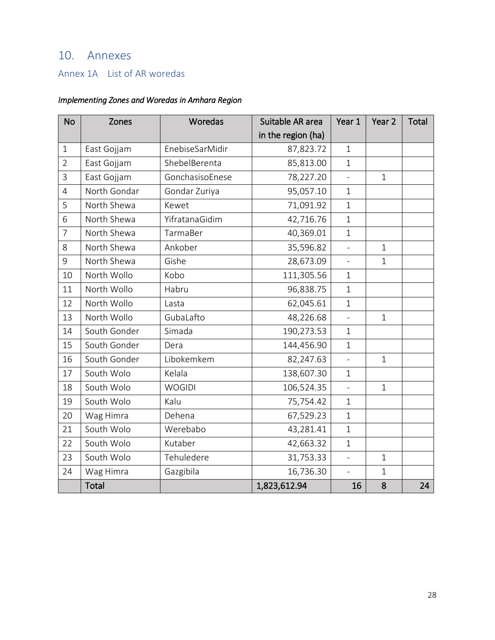# <span id="page-27-0"></span>10. Annexes

## <span id="page-27-1"></span>Annex 1A List of AR woredas

## *Implementing Zones and Woredas in Amhara Region*

| <b>No</b>      | Zones        | Woredas         | Suitable AR area   | Year 1                   | Year <sub>2</sub> | <b>Total</b> |
|----------------|--------------|-----------------|--------------------|--------------------------|-------------------|--------------|
|                |              |                 | in the region (ha) |                          |                   |              |
| $\mathbf{1}$   | East Gojjam  | EnebiseSarMidir | 87,823.72          | $\mathbf{1}$             |                   |              |
| $\overline{2}$ | East Gojjam  | ShebelBerenta   | 85,813.00          | $\mathbf{1}$             |                   |              |
| 3              | East Gojjam  | GonchasisoEnese | 78,227.20          | $\overline{a}$           | $\mathbf{1}$      |              |
| $\overline{4}$ | North Gondar | Gondar Zuriya   | 95,057.10          | $\mathbf{1}$             |                   |              |
| 5              | North Shewa  | Kewet           | 71,091.92          | $\mathbf{1}$             |                   |              |
| 6              | North Shewa  | YifratanaGidim  | 42,716.76          | $\mathbf{1}$             |                   |              |
| $\overline{7}$ | North Shewa  | TarmaBer        | 40,369.01          | $\mathbf{1}$             |                   |              |
| 8              | North Shewa  | Ankober         | 35,596.82          | $\overline{a}$           | $\mathbf{1}$      |              |
| $\mathsf 9$    | North Shewa  | Gishe           | 28,673.09          | $\overline{\phantom{0}}$ | $\mathbf{1}$      |              |
| 10             | North Wollo  | Kobo            | 111,305.56         | $\mathbf{1}$             |                   |              |
| 11             | North Wollo  | Habru           | 96,838.75          | $\mathbf{1}$             |                   |              |
| 12             | North Wollo  | Lasta           | 62,045.61          | $\mathbf{1}$             |                   |              |
| 13             | North Wollo  | GubaLafto       | 48,226.68          | $\overline{a}$           | $\mathbf 1$       |              |
| 14             | South Gonder | Simada          | 190,273.53         | $\mathbf{1}$             |                   |              |
| 15             | South Gonder | Dera            | 144,456.90         | $\mathbf{1}$             |                   |              |
| 16             | South Gonder | Libokemkem      | 82,247.63          |                          | $\mathbf{1}$      |              |
| 17             | South Wolo   | Kelala          | 138,607.30         | $\mathbf{1}$             |                   |              |
| 18             | South Wolo   | <b>WOGIDI</b>   | 106,524.35         | $\overline{a}$           | $\mathbf{1}$      |              |
| 19             | South Wolo   | Kalu            | 75,754.42          | $\mathbf{1}$             |                   |              |
| 20             | Wag Himra    | Dehena          | 67,529.23          | $\mathbf{1}$             |                   |              |
| 21             | South Wolo   | Werebabo        | 43,281.41          | $\mathbf{1}$             |                   |              |
| 22             | South Wolo   | Kutaber         | 42,663.32          | $\mathbf{1}$             |                   |              |
| 23             | South Wolo   | Tehuledere      | 31,753.33          | $\overline{a}$           | $\mathbf{1}$      |              |
| 24             | Wag Himra    | Gazgibila       | 16,736.30          |                          | $\mathbf{1}$      |              |
|                | <b>Total</b> |                 | 1,823,612.94       | 16                       | 8                 | 24           |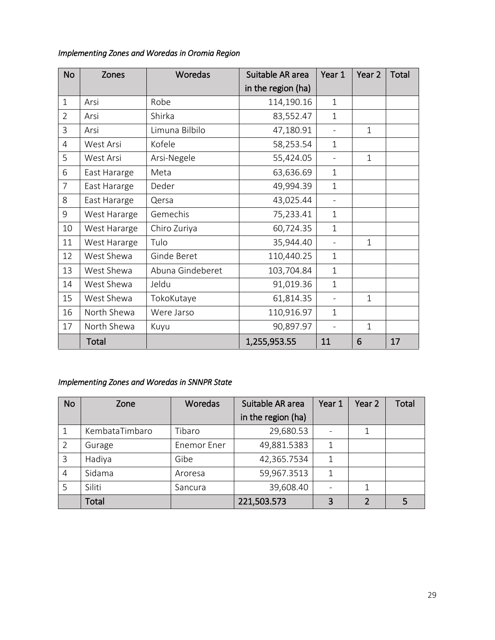| <b>No</b>      | Zones        | Woredas          | Suitable AR area   | Year 1                   | Year <sub>2</sub> | Total |
|----------------|--------------|------------------|--------------------|--------------------------|-------------------|-------|
|                |              |                  | in the region (ha) |                          |                   |       |
| $\mathbf{1}$   | Arsi         | Robe             | 114,190.16         | $\mathbf{1}$             |                   |       |
| $\overline{2}$ | Arsi         | Shirka           | 83,552.47          | $\mathbf{1}$             |                   |       |
| $\overline{3}$ | Arsi         | Limuna Bilbilo   | 47,180.91          | $\overline{a}$           | $\mathbf{1}$      |       |
| $\overline{4}$ | West Arsi    | Kofele           | 58,253.54          | $\mathbf{1}$             |                   |       |
| 5              | West Arsi    | Arsi-Negele      | 55,424.05          |                          | $\mathbf{1}$      |       |
| 6              | East Hararge | Meta             | 63,636.69          | $\mathbf{1}$             |                   |       |
| $\overline{7}$ | East Hararge | Deder            | 49,994.39          | $\mathbf{1}$             |                   |       |
| 8              | East Hararge | Qersa            | 43,025.44          |                          |                   |       |
| 9              | West Hararge | Gemechis         | 75,233.41          | $\mathbf{1}$             |                   |       |
| 10             | West Hararge | Chiro Zuriya     | 60,724.35          | $\mathbf{1}$             |                   |       |
| 11             | West Hararge | Tulo             | 35,944.40          | $\overline{\phantom{0}}$ | $\mathbf{1}$      |       |
| 12             | West Shewa   | Ginde Beret      | 110,440.25         | $\mathbf{1}$             |                   |       |
| 13             | West Shewa   | Abuna Gindeberet | 103,704.84         | $\mathbf{1}$             |                   |       |
| 14             | West Shewa   | Jeldu            | 91,019.36          | $\mathbf{1}$             |                   |       |
| 15             | West Shewa   | TokoKutaye       | 61,814.35          |                          | $\mathbf{1}$      |       |
| 16             | North Shewa  | Were Jarso       | 110,916.97         | $\mathbf{1}$             |                   |       |
| 17             | North Shewa  | Kuyu             | 90,897.97          | $\overline{a}$           | $\mathbf{1}$      |       |
|                | Total        |                  | 1,255,953.55       | 11                       | 6                 | 17    |

#### *Implementing Zones and Woredas in Oromia Region*

## *Implementing Zones and Woredas in SNNPR State*

| <b>No</b> | Zone           | Woredas            | Suitable AR area   | Year 1 | Year <sub>2</sub> | <b>Total</b> |
|-----------|----------------|--------------------|--------------------|--------|-------------------|--------------|
|           |                |                    | in the region (ha) |        |                   |              |
|           | KembataTimbaro | Tibaro             | 29,680.53          |        |                   |              |
| 2         | Gurage         | <b>Enemor Ener</b> | 49,881.5383        | 1      |                   |              |
| 3         | Hadiya         | Gibe               | 42,365.7534        | 1      |                   |              |
| 4         | Sidama         | Aroresa            | 59,967.3513        | 1      |                   |              |
| 5         | Siliti         | Sancura            | 39,608.40          |        |                   |              |
|           | Total          |                    | 221,503.573        | 3      | $\mathcal{P}$     |              |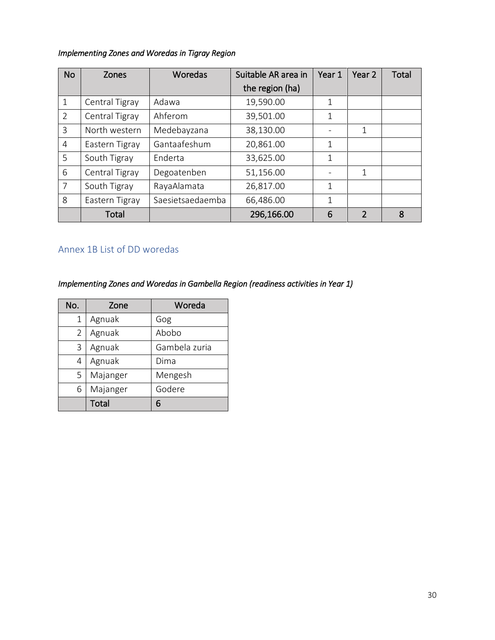#### *Implementing Zones and Woredas in Tigray Region*

| <b>No</b>      | <b>Zones</b>   | Woredas          | Suitable AR area in | Year 1 | Year 2         | <b>Total</b> |
|----------------|----------------|------------------|---------------------|--------|----------------|--------------|
|                |                |                  | the region (ha)     |        |                |              |
| 1              | Central Tigray | Adawa            | 19,590.00           | 1      |                |              |
| $\overline{2}$ | Central Tigray | Ahferom          | 39,501.00           | 1      |                |              |
| 3              | North western  | Medebayzana      | 38,130.00           |        | 1              |              |
| 4              | Eastern Tigray | Gantaafeshum     | 20,861.00           | 1      |                |              |
| 5              | South Tigray   | Enderta          | 33,625.00           | 1      |                |              |
| 6              | Central Tigray | Degoatenben      | 51,156.00           |        | 1              |              |
| 7              | South Tigray   | RayaAlamata      | 26,817.00           | 1      |                |              |
| 8              | Eastern Tigray | Saesietsaedaemba | 66,486.00           | 1      |                |              |
|                | Total          |                  | 296,166.00          | 6      | $\overline{2}$ | 8            |

## <span id="page-29-0"></span>Annex 1B List of DD woredas

*Implementing Zones and Woredas in Gambella Region (readiness activities in Year 1)* 

| No.                      | Zone         | Woreda        |  |
|--------------------------|--------------|---------------|--|
| 1                        | Agnuak       | Gog           |  |
| Agnuak<br>$\overline{2}$ |              | Abobo         |  |
| Agnuak<br>3              |              | Gambela zuria |  |
| 4                        | Agnuak       | Dima          |  |
| 5                        | Majanger     | Mengesh       |  |
| 6                        | Majanger     | Godere        |  |
|                          | <b>Total</b> | 6             |  |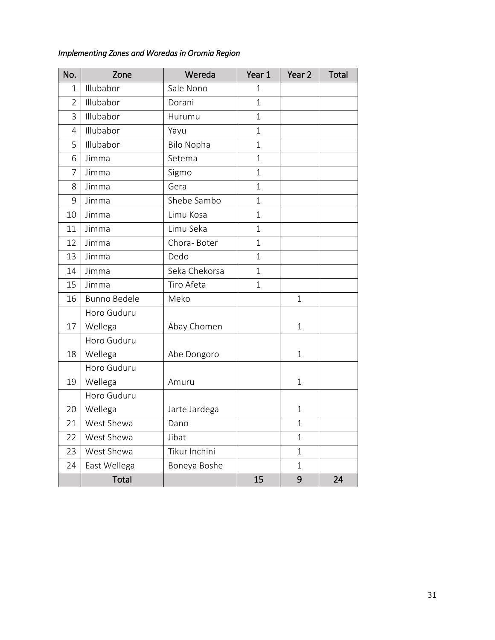| No.            | Zone                | Wereda            | Year 1         | Year <sub>2</sub> | Total |
|----------------|---------------------|-------------------|----------------|-------------------|-------|
| 1              | Illubabor           | Sale Nono         | $\mathbf 1$    |                   |       |
| $\overline{2}$ | Illubabor           | Dorani            | $\mathbf{1}$   |                   |       |
| 3              | Illubabor           | Hurumu            | $\mathbf{1}$   |                   |       |
| 4              | Illubabor           | Yayu              | $\mathbf{1}$   |                   |       |
| 5              | Illubabor           | <b>Bilo Nopha</b> | $\mathbf{1}$   |                   |       |
| 6              | Jimma               | Setema            | $\mathbf{1}$   |                   |       |
| 7              | Jimma               | Sigmo             | $\mathbf{1}$   |                   |       |
| 8              | Jimma               | Gera              | $\mathbf{1}$   |                   |       |
| 9              | Jimma               | Shebe Sambo       | $\overline{1}$ |                   |       |
| 10             | Jimma               | Limu Kosa         | $\overline{1}$ |                   |       |
| 11             | Jimma               | Limu Seka         | $\overline{1}$ |                   |       |
| 12             | Jimma               | Chora-Boter       | $\overline{1}$ |                   |       |
| 13             | Jimma               | Dedo              | $\overline{1}$ |                   |       |
| 14             | Jimma               | Seka Chekorsa     | $\overline{1}$ |                   |       |
| 15             | Jimma               | Tiro Afeta        | $\mathbf{1}$   |                   |       |
| 16             | <b>Bunno Bedele</b> | Meko              |                | $\overline{1}$    |       |
|                | Horo Guduru         |                   |                |                   |       |
| 17             | Wellega             | Abay Chomen       |                | 1                 |       |

#### *Implementing Zones and Woredas in Oromia Region*

Horo Guduru

| 18 | Wellega      | Abe Dongoro   |    | 1 |  |
|----|--------------|---------------|----|---|--|
|    | Horo Guduru  |               |    |   |  |
| 19 | Wellega      | Amuru         |    | 1 |  |
|    | Horo Guduru  |               |    |   |  |
| 20 | Wellega      | Jarte Jardega |    | 1 |  |
| 21 | West Shewa   | Dano          |    | 1 |  |
| 22 | West Shewa   | Jibat         |    | 1 |  |
| 23 | West Shewa   | Tikur Inchini |    | 1 |  |
| 24 | East Wellega | Boneya Boshe  |    | 1 |  |
|    | <b>Total</b> |               | 15 | 9 |  |
|    |              |               |    |   |  |

 $\overline{24}$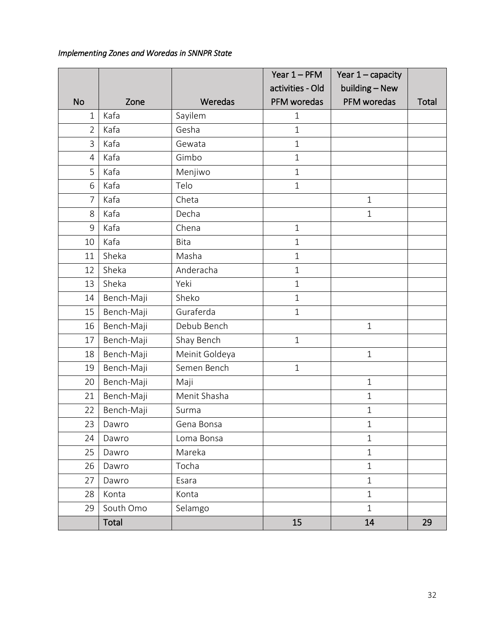#### *Implementing Zones and Woredas in SNNPR State*

|                |            |                | Year $1 - PFM$   | Year $1 -$ capacity |              |
|----------------|------------|----------------|------------------|---------------------|--------------|
|                |            |                | activities - Old | building - New      |              |
| <b>No</b>      | Zone       | Weredas        | PFM woredas      | PFM woredas         | <b>Total</b> |
| 1              | Kafa       | Sayilem        | $\mathbf 1$      |                     |              |
| $\overline{2}$ | Kafa       | Gesha          | $\mathbf{1}$     |                     |              |
| 3              | Kafa       | Gewata         | $1\,$            |                     |              |
| 4              | Kafa       | Gimbo          | $1\,$            |                     |              |
| 5              | Kafa       | Menjiwo        | $1\,$            |                     |              |
| 6              | Kafa       | Telo           | $1\,$            |                     |              |
| $\overline{7}$ | Kafa       | Cheta          |                  | $1\,$               |              |
| 8              | Kafa       | Decha          |                  | $\mathbf{1}$        |              |
| $\mathsf 9$    | Kafa       | Chena          | $\mathbf 1$      |                     |              |
| 10             | Kafa       | <b>Bita</b>    | $1\,$            |                     |              |
| 11             | Sheka      | Masha          | $\mathbf{1}$     |                     |              |
| 12             | Sheka      | Anderacha      | $\mathbf 1$      |                     |              |
| 13             | Sheka      | Yeki           | $\mathbf{1}$     |                     |              |
| 14             | Bench-Maji | Sheko          | $1\,$            |                     |              |
| 15             | Bench-Maji | Guraferda      | $\mathbf{1}$     |                     |              |
| 16             | Bench-Maji | Debub Bench    |                  | $\,1\,$             |              |
| 17             | Bench-Maji | Shay Bench     | $\mathbf{1}$     |                     |              |
| 18             | Bench-Maji | Meinit Goldeya |                  | $\mathbf 1$         |              |
| 19             | Bench-Maji | Semen Bench    | $\mathbf{1}$     |                     |              |
| 20             | Bench-Maji | Maji           |                  | $\mathbf{1}$        |              |
| 21             | Bench-Maji | Menit Shasha   |                  | $1\,$               |              |
| 22             | Bench-Maji | Surma          |                  | $\mathbf 1$         |              |
| 23             | Dawro      | Gena Bonsa     |                  | $1\,$               |              |
| 24             | Dawro      | Loma Bonsa     |                  | $\mathbf 1$         |              |
| 25             | Dawro      | Mareka         |                  | $\mathbf{1}$        |              |
| 26             | Dawro      | Tocha          |                  | $\mathbf 1$         |              |
| 27             | Dawro      | Esara          |                  | $\mathbf{1}$        |              |
| 28             | Konta      | Konta          |                  | $\mathbf{1}$        |              |
| 29             | South Omo  | Selamgo        |                  | $\mathbf{1}$        |              |
|                | Total      |                | 15               | 14                  | 29           |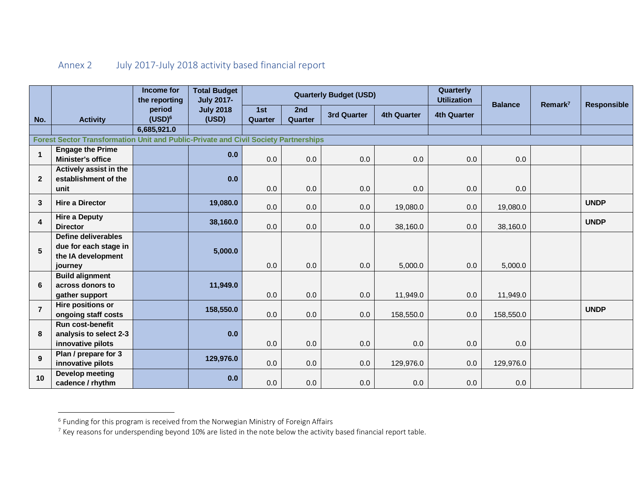## Annex 2 July 2017-July 2018 activity based financial report

<span id="page-32-0"></span>

|                                                                                     |                                                                                      | Income for<br>the reporting | <b>Total Budget</b><br><b>July 2017-</b> |                |                | <b>Quarterly Budget (USD)</b> |                    | Quarterly<br><b>Utilization</b> | <b>Balance</b> | Remark <sup>7</sup> | <b>Responsible</b> |
|-------------------------------------------------------------------------------------|--------------------------------------------------------------------------------------|-----------------------------|------------------------------------------|----------------|----------------|-------------------------------|--------------------|---------------------------------|----------------|---------------------|--------------------|
| No.                                                                                 | <b>Activity</b>                                                                      | period<br>$(USD)^6$         | <b>July 2018</b><br>(USD)                | 1st<br>Quarter | 2nd<br>Quarter | <b>3rd Quarter</b>            | <b>4th Quarter</b> | <b>4th Quarter</b>              |                |                     |                    |
|                                                                                     |                                                                                      | 6,685,921.0                 |                                          |                |                |                               |                    |                                 |                |                     |                    |
| Forest Sector Transformation Unit and Public-Private and Civil Society Partnerships |                                                                                      |                             |                                          |                |                |                               |                    |                                 |                |                     |                    |
| $\mathbf{1}$                                                                        | <b>Engage the Prime</b><br><b>Minister's office</b>                                  |                             | 0.0                                      | 0.0            | 0.0            | 0.0                           | 0.0                | 0.0                             | 0.0            |                     |                    |
| $\overline{2}$                                                                      | Actively assist in the<br>establishment of the<br>unit                               |                             | 0.0                                      | 0.0            | 0.0            | 0.0                           | 0.0                | 0.0                             | 0.0            |                     |                    |
| $\mathbf{3}$                                                                        | <b>Hire a Director</b>                                                               |                             | 19,080.0                                 | 0.0            | 0.0            | 0.0                           | 19,080.0           | 0.0                             | 19,080.0       |                     | <b>UNDP</b>        |
| $\overline{\mathbf{4}}$                                                             | <b>Hire a Deputy</b><br><b>Director</b>                                              |                             | 38,160.0                                 | 0.0            | 0.0            | 0.0                           | 38,160.0           | 0.0                             | 38,160.0       |                     | <b>UNDP</b>        |
| $5\phantom{1}$                                                                      | <b>Define deliverables</b><br>due for each stage in<br>the IA development<br>journey |                             | 5,000.0                                  | 0.0            | 0.0            | 0.0                           | 5,000.0            | 0.0                             | 5,000.0        |                     |                    |
| 6                                                                                   | <b>Build alignment</b><br>across donors to<br>gather support                         |                             | 11,949.0                                 | 0.0            | 0.0            | 0.0                           | 11,949.0           | 0.0                             | 11,949.0       |                     |                    |
| $\overline{7}$                                                                      | Hire positions or<br>ongoing staff costs                                             |                             | 158,550.0                                | 0.0            | 0.0            | 0.0                           | 158,550.0          | 0.0                             | 158,550.0      |                     | <b>UNDP</b>        |
| 8                                                                                   | <b>Run cost-benefit</b><br>analysis to select 2-3<br>innovative pilots               |                             | 0.0                                      | 0.0            | 0.0            | 0.0                           | 0.0                | 0.0                             | 0.0            |                     |                    |
| $\mathbf{9}$                                                                        | Plan / prepare for 3<br>innovative pilots                                            |                             | 129,976.0                                | 0.0            | 0.0            | 0.0                           | 129,976.0          | 0.0                             | 129,976.0      |                     |                    |
| 10                                                                                  | <b>Develop meeting</b><br>cadence / rhythm                                           |                             | 0.0                                      | 0.0            | 0.0            | 0.0                           | 0.0                | 0.0                             | 0.0            |                     |                    |

 6 Funding for this program is received from the Norwegian Ministry of Foreign Affairs

<sup>7</sup> Key reasons for underspending beyond 10% are listed in the note below the activity based financial report table.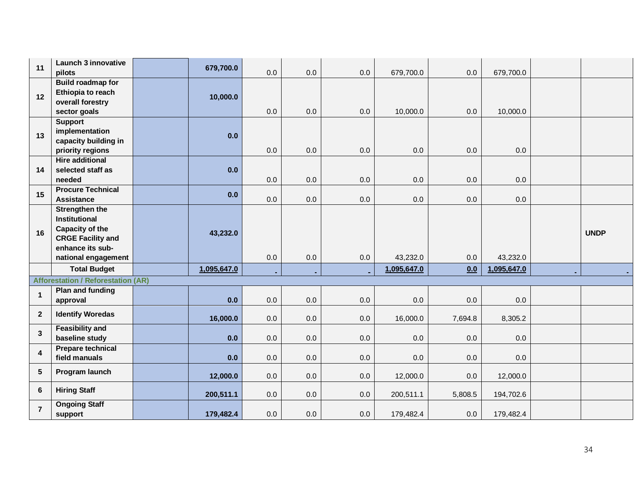| 11                      | Launch 3 innovative<br>pilots                                                         | 679,700.0   | 0.0     | 0.0 | 0.0     | 679,700.0   | 0.0     | 679,700.0   |             |
|-------------------------|---------------------------------------------------------------------------------------|-------------|---------|-----|---------|-------------|---------|-------------|-------------|
| 12                      | <b>Build roadmap for</b><br>Ethiopia to reach<br>overall forestry<br>sector goals     | 10,000.0    | 0.0     | 0.0 | 0.0     | 10,000.0    | 0.0     | 10,000.0    |             |
| 13                      | <b>Support</b><br>implementation<br>capacity building in<br>priority regions          | 0.0         | 0.0     | 0.0 | $0.0\,$ | 0.0         | $0.0\,$ | 0.0         |             |
| 14                      | <b>Hire additional</b><br>selected staff as<br>needed                                 | 0.0         | 0.0     | 0.0 | 0.0     | 0.0         | 0.0     | 0.0         |             |
| 15                      | <b>Procure Technical</b><br><b>Assistance</b>                                         | 0.0         | 0.0     | 0.0 | 0.0     | 0.0         | 0.0     | 0.0         |             |
| 16                      | <b>Strengthen the</b><br>Institutional<br>Capacity of the<br><b>CRGE Facility and</b> | 43,232.0    |         |     |         |             |         |             | <b>UNDP</b> |
|                         | enhance its sub-<br>national engagement                                               |             | 0.0     | 0.0 | 0.0     | 43,232.0    | 0.0     | 43,232.0    |             |
|                         | <b>Total Budget</b>                                                                   | 1,095,647.0 |         |     |         | 1,095,647.0 | 0.0     | 1,095,647.0 |             |
|                         | <b>Afforestation / Reforestation (AR)</b>                                             |             |         |     |         |             |         |             |             |
| $\mathbf{1}$            | Plan and funding<br>approval                                                          | 0.0         | 0.0     | 0.0 | 0.0     | 0.0         | 0.0     | 0.0         |             |
| $\overline{2}$          | <b>Identify Woredas</b>                                                               | 16,000.0    | 0.0     | 0.0 | 0.0     | 16,000.0    | 7,694.8 | 8,305.2     |             |
| $\mathbf{3}$            | <b>Feasibility and</b><br>baseline study                                              | 0.0         | $0.0\,$ | 0.0 | $0.0\,$ | 0.0         | $0.0\,$ | 0.0         |             |
| $\overline{\mathbf{4}}$ | <b>Prepare technical</b><br>field manuals                                             | 0.0         | 0.0     | 0.0 | 0.0     | 0.0         | 0.0     | 0.0         |             |
| $5\phantom{1}$          | Program launch                                                                        | 12,000.0    | 0.0     | 0.0 | 0.0     | 12,000.0    | 0.0     | 12,000.0    |             |
| 6                       | <b>Hiring Staff</b><br><b>Ongoing Staff</b>                                           | 200,511.1   | 0.0     | 0.0 | 0.0     | 200,511.1   | 5,808.5 | 194,702.6   |             |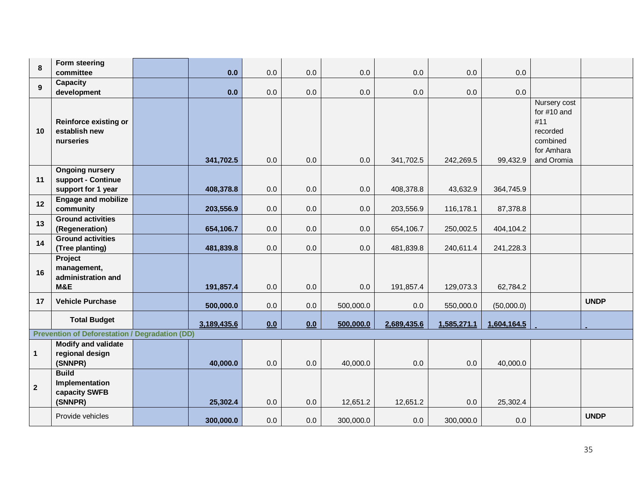| $\pmb{8}$    | Form steering                                                      |             |     |     |           |             |             |             |                                                                                        |             |
|--------------|--------------------------------------------------------------------|-------------|-----|-----|-----------|-------------|-------------|-------------|----------------------------------------------------------------------------------------|-------------|
|              | committee                                                          | 0.0         | 0.0 | 0.0 | 0.0       | $0.0\,$     | 0.0         | 0.0         |                                                                                        |             |
| $\mathbf{9}$ | <b>Capacity</b><br>development                                     | 0.0         | 0.0 | 0.0 | 0.0       | 0.0         | 0.0         | 0.0         |                                                                                        |             |
| 10           | <b>Reinforce existing or</b><br>establish new<br>nurseries         | 341,702.5   | 0.0 | 0.0 | 0.0       | 341,702.5   | 242,269.5   | 99,432.9    | Nursery cost<br>for #10 and<br>#11<br>recorded<br>combined<br>for Amhara<br>and Oromia |             |
| 11           | <b>Ongoing nursery</b><br>support - Continue<br>support for 1 year | 408,378.8   | 0.0 | 0.0 | 0.0       | 408,378.8   | 43,632.9    | 364,745.9   |                                                                                        |             |
| 12           | <b>Engage and mobilize</b><br>community                            | 203,556.9   | 0.0 | 0.0 | 0.0       | 203,556.9   | 116,178.1   | 87,378.8    |                                                                                        |             |
| 13           | <b>Ground activities</b><br>(Regeneration)                         | 654,106.7   | 0.0 | 0.0 | 0.0       | 654,106.7   | 250,002.5   | 404,104.2   |                                                                                        |             |
| 14           | <b>Ground activities</b><br>(Tree planting)                        | 481,839.8   | 0.0 | 0.0 | 0.0       | 481,839.8   | 240,611.4   | 241,228.3   |                                                                                        |             |
| 16           | Project<br>management,<br>administration and<br>M&E                | 191,857.4   | 0.0 | 0.0 | 0.0       | 191,857.4   | 129,073.3   | 62,784.2    |                                                                                        |             |
| 17           | <b>Vehicle Purchase</b>                                            | 500,000.0   | 0.0 | 0.0 | 500,000.0 | 0.0         | 550,000.0   | (50,000.0)  |                                                                                        | <b>UNDP</b> |
|              | <b>Total Budget</b>                                                | 3,189,435.6 | 0.0 | 0.0 | 500,000.0 | 2,689,435.6 | 1,585,271.1 | 1,604,164.5 |                                                                                        |             |
|              | <b>Prevention of Deforestation / Degradation (DD)</b>              |             |     |     |           |             |             |             |                                                                                        |             |
| 1            | <b>Modify and validate</b><br>regional design<br>(SNNPR)           | 40,000.0    | 0.0 | 0.0 | 40,000.0  | 0.0         | 0.0         | 40,000.0    |                                                                                        |             |
| $2^{\circ}$  | <b>Build</b><br>Implementation<br>capacity SWFB<br>(SNNPR)         | 25,302.4    | 0.0 | 0.0 | 12,651.2  | 12,651.2    | 0.0         | 25,302.4    |                                                                                        |             |
|              | Provide vehicles                                                   | 300,000.0   | 0.0 | 0.0 | 300,000.0 | 0.0         | 300,000.0   | $0.0\,$     |                                                                                        | <b>UNDP</b> |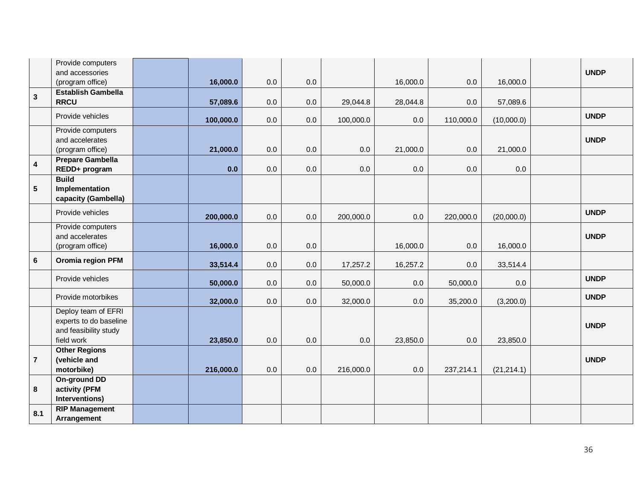|                         | Provide computers               |           |         |         |           |          |           |             |             |
|-------------------------|---------------------------------|-----------|---------|---------|-----------|----------|-----------|-------------|-------------|
|                         | and accessories                 |           |         |         |           |          |           |             | <b>UNDP</b> |
|                         | (program office)                | 16,000.0  | 0.0     | $0.0\,$ |           | 16,000.0 | 0.0       | 16,000.0    |             |
| $\mathbf{3}$            | <b>Establish Gambella</b>       |           |         |         |           |          |           |             |             |
|                         | <b>RRCU</b>                     | 57,089.6  | 0.0     | 0.0     | 29,044.8  | 28,044.8 | 0.0       | 57,089.6    |             |
|                         | Provide vehicles                | 100,000.0 | 0.0     | 0.0     | 100,000.0 | 0.0      | 110,000.0 | (10,000.0)  | <b>UNDP</b> |
|                         | Provide computers               |           |         |         |           |          |           |             |             |
|                         | and accelerates                 |           |         |         |           |          |           |             | <b>UNDP</b> |
|                         | (program office)                | 21,000.0  | $0.0\,$ | 0.0     | $0.0\,$   | 21,000.0 | $0.0\,$   | 21,000.0    |             |
| $\overline{\mathbf{4}}$ | <b>Prepare Gambella</b>         |           |         |         |           |          |           |             |             |
|                         | REDD+ program                   | 0.0       | 0.0     | 0.0     | $0.0\,$   | 0.0      | 0.0       | $0.0\,$     |             |
| 5 <sup>5</sup>          | <b>Build</b><br>Implementation  |           |         |         |           |          |           |             |             |
|                         | capacity (Gambella)             |           |         |         |           |          |           |             |             |
|                         | Provide vehicles                |           |         |         |           |          |           |             | <b>UNDP</b> |
|                         |                                 | 200,000.0 | 0.0     | 0.0     | 200,000.0 | 0.0      | 220,000.0 | (20,000.0)  |             |
|                         | Provide computers               |           |         |         |           |          |           |             |             |
|                         | and accelerates                 |           |         |         |           |          |           |             | <b>UNDP</b> |
|                         | (program office)                | 16,000.0  | 0.0     | 0.0     |           | 16,000.0 | 0.0       | 16,000.0    |             |
| $6\phantom{1}$          | Oromia region PFM               | 33,514.4  | 0.0     | 0.0     | 17,257.2  | 16,257.2 | 0.0       | 33,514.4    |             |
|                         | Provide vehicles                | 50,000.0  | $0.0\,$ | 0.0     | 50,000.0  | 0.0      | 50,000.0  | 0.0         | <b>UNDP</b> |
|                         |                                 |           |         |         |           |          |           |             |             |
|                         | Provide motorbikes              | 32,000.0  | 0.0     | 0.0     | 32,000.0  | 0.0      | 35,200.0  | (3,200.0)   | <b>UNDP</b> |
|                         | Deploy team of EFRI             |           |         |         |           |          |           |             |             |
|                         | experts to do baseline          |           |         |         |           |          |           |             | <b>UNDP</b> |
|                         | and feasibility study           |           |         |         |           |          |           |             |             |
|                         | field work                      | 23,850.0  | 0.0     | 0.0     | 0.0       | 23,850.0 | 0.0       | 23,850.0    |             |
|                         | <b>Other Regions</b>            |           |         |         |           |          |           |             |             |
| $\overline{7}$          | (vehicle and                    |           |         |         |           |          |           |             | <b>UNDP</b> |
|                         | motorbike)                      | 216,000.0 | 0.0     | 0.0     | 216,000.0 | 0.0      | 237,214.1 | (21, 214.1) |             |
| 8                       | <b>On-ground DD</b>             |           |         |         |           |          |           |             |             |
|                         | activity (PFM<br>Interventions) |           |         |         |           |          |           |             |             |
|                         | <b>RIP Management</b>           |           |         |         |           |          |           |             |             |
| 8.1                     | Arrangement                     |           |         |         |           |          |           |             |             |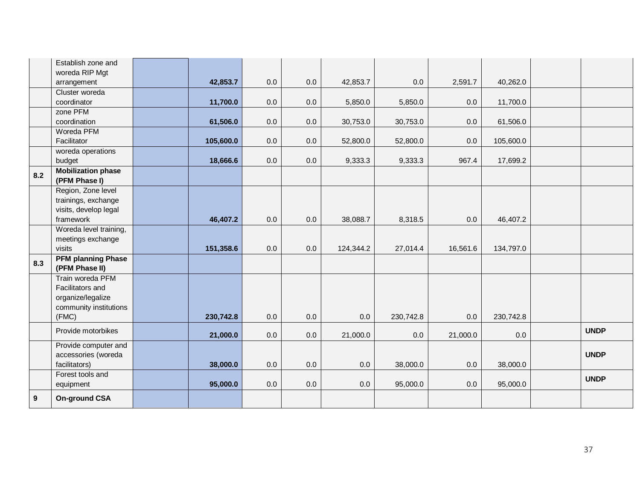|     | Establish zone and        |           |     |     |           |           |          |           |             |
|-----|---------------------------|-----------|-----|-----|-----------|-----------|----------|-----------|-------------|
|     | woreda RIP Mgt            |           |     |     |           |           |          |           |             |
|     | arrangement               | 42,853.7  | 0.0 | 0.0 | 42,853.7  | 0.0       | 2,591.7  | 40,262.0  |             |
|     | Cluster woreda            |           |     |     |           |           |          |           |             |
|     | coordinator               | 11,700.0  | 0.0 | 0.0 | 5,850.0   | 5,850.0   | 0.0      | 11,700.0  |             |
|     | zone PFM                  |           |     |     |           |           |          |           |             |
|     | coordination              | 61,506.0  | 0.0 | 0.0 | 30,753.0  | 30,753.0  | 0.0      | 61,506.0  |             |
|     | Woreda PFM                |           |     |     |           |           |          |           |             |
|     | Facilitator               | 105,600.0 | 0.0 | 0.0 | 52,800.0  | 52,800.0  | 0.0      | 105,600.0 |             |
|     | woreda operations         |           |     |     |           |           |          |           |             |
|     | budget                    | 18,666.6  | 0.0 | 0.0 | 9,333.3   | 9,333.3   | 967.4    | 17,699.2  |             |
| 8.2 | <b>Mobilization phase</b> |           |     |     |           |           |          |           |             |
|     | (PFM Phase I)             |           |     |     |           |           |          |           |             |
|     | Region, Zone level        |           |     |     |           |           |          |           |             |
|     | trainings, exchange       |           |     |     |           |           |          |           |             |
|     | visits, develop legal     |           |     |     |           |           |          |           |             |
|     | framework                 | 46,407.2  | 0.0 | 0.0 | 38,088.7  | 8,318.5   | 0.0      | 46,407.2  |             |
|     | Woreda level training,    |           |     |     |           |           |          |           |             |
|     | meetings exchange         |           |     |     |           |           |          |           |             |
|     | visits                    | 151,358.6 | 0.0 | 0.0 | 124,344.2 | 27,014.4  | 16,561.6 | 134,797.0 |             |
| 8.3 | <b>PFM planning Phase</b> |           |     |     |           |           |          |           |             |
|     | (PFM Phase II)            |           |     |     |           |           |          |           |             |
|     | Train woreda PFM          |           |     |     |           |           |          |           |             |
|     | Facilitators and          |           |     |     |           |           |          |           |             |
|     | organize/legalize         |           |     |     |           |           |          |           |             |
|     | community institutions    |           |     |     |           |           |          |           |             |
|     | (FMC)                     | 230,742.8 | 0.0 | 0.0 | 0.0       | 230,742.8 | 0.0      | 230,742.8 |             |
|     | Provide motorbikes        | 21,000.0  | 0.0 | 0.0 | 21,000.0  | 0.0       | 21,000.0 | $0.0\,$   | <b>UNDP</b> |
|     | Provide computer and      |           |     |     |           |           |          |           |             |
|     | accessories (woreda       |           |     |     |           |           |          |           | <b>UNDP</b> |
|     | facilitators)             | 38,000.0  | 0.0 | 0.0 | $0.0\,$   | 38,000.0  | 0.0      | 38,000.0  |             |
|     | Forest tools and          |           |     |     |           |           |          |           | <b>UNDP</b> |
|     | equipment                 | 95,000.0  | 0.0 | 0.0 | 0.0       | 95,000.0  | 0.0      | 95,000.0  |             |
| 9   | <b>On-ground CSA</b>      |           |     |     |           |           |          |           |             |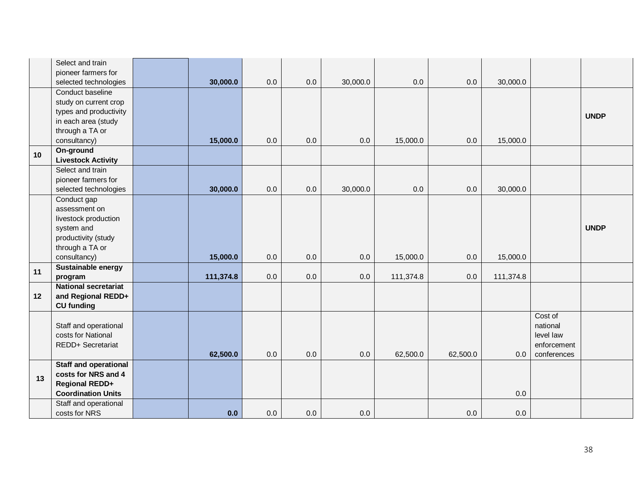|    | Select and train             |           |     |     |          |           |          |           |             |             |
|----|------------------------------|-----------|-----|-----|----------|-----------|----------|-----------|-------------|-------------|
|    | pioneer farmers for          |           |     |     |          |           |          |           |             |             |
|    | selected technologies        | 30,000.0  | 0.0 | 0.0 | 30,000.0 | 0.0       | 0.0      | 30,000.0  |             |             |
|    | Conduct baseline             |           |     |     |          |           |          |           |             |             |
|    | study on current crop        |           |     |     |          |           |          |           |             |             |
|    | types and productivity       |           |     |     |          |           |          |           |             | <b>UNDP</b> |
|    | in each area (study          |           |     |     |          |           |          |           |             |             |
|    | through a TA or              |           |     |     |          |           |          |           |             |             |
|    | consultancy)                 | 15,000.0  | 0.0 | 0.0 | 0.0      | 15,000.0  | 0.0      | 15,000.0  |             |             |
| 10 | On-ground                    |           |     |     |          |           |          |           |             |             |
|    | <b>Livestock Activity</b>    |           |     |     |          |           |          |           |             |             |
|    | Select and train             |           |     |     |          |           |          |           |             |             |
|    | pioneer farmers for          |           |     |     |          |           |          |           |             |             |
|    | selected technologies        | 30,000.0  | 0.0 | 0.0 | 30,000.0 | 0.0       | 0.0      | 30,000.0  |             |             |
|    | Conduct gap                  |           |     |     |          |           |          |           |             |             |
|    | assessment on                |           |     |     |          |           |          |           |             |             |
|    | livestock production         |           |     |     |          |           |          |           |             |             |
|    | system and                   |           |     |     |          |           |          |           |             | <b>UNDP</b> |
|    | productivity (study          |           |     |     |          |           |          |           |             |             |
|    | through a TA or              |           |     |     |          |           |          |           |             |             |
|    | consultancy)                 | 15,000.0  | 0.0 | 0.0 | 0.0      | 15,000.0  | 0.0      | 15,000.0  |             |             |
| 11 | Sustainable energy           |           |     |     |          |           |          |           |             |             |
|    | program                      | 111,374.8 | 0.0 | 0.0 | 0.0      | 111,374.8 | 0.0      | 111,374.8 |             |             |
|    | <b>National secretariat</b>  |           |     |     |          |           |          |           |             |             |
| 12 | and Regional REDD+           |           |     |     |          |           |          |           |             |             |
|    | <b>CU</b> funding            |           |     |     |          |           |          |           |             |             |
|    |                              |           |     |     |          |           |          |           | Cost of     |             |
|    | Staff and operational        |           |     |     |          |           |          |           | national    |             |
|    | costs for National           |           |     |     |          |           |          |           | level law   |             |
|    | REDD+ Secretariat            |           |     |     |          |           |          |           | enforcement |             |
|    |                              | 62,500.0  | 0.0 | 0.0 | 0.0      | 62,500.0  | 62,500.0 | 0.0       | conferences |             |
|    | <b>Staff and operational</b> |           |     |     |          |           |          |           |             |             |
| 13 | costs for NRS and 4          |           |     |     |          |           |          |           |             |             |
|    | <b>Regional REDD+</b>        |           |     |     |          |           |          |           |             |             |
|    | <b>Coordination Units</b>    |           |     |     |          |           |          | 0.0       |             |             |
|    | Staff and operational        |           |     |     |          |           |          |           |             |             |
|    | costs for NRS                | 0.0       | 0.0 | 0.0 | 0.0      |           | 0.0      | 0.0       |             |             |